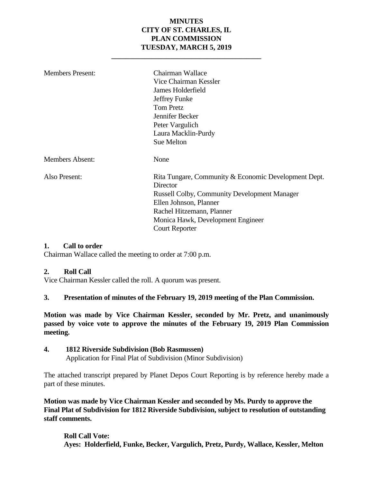#### **MINUTES CITY OF ST. CHARLES, IL PLAN COMMISSION TUESDAY, MARCH 5, 2019**

**\_\_\_\_\_\_\_\_\_\_\_\_\_\_\_\_\_\_\_\_\_\_\_\_\_\_\_\_\_\_\_\_\_\_\_\_\_\_\_\_\_**

| <b>Members Present:</b> | Chairman Wallace<br>Vice Chairman Kessler<br>James Holderfield<br>Jeffrey Funke<br><b>Tom Pretz</b><br>Jennifer Becker<br>Peter Vargulich<br>Laura Macklin-Purdy<br>Sue Melton                                                               |
|-------------------------|----------------------------------------------------------------------------------------------------------------------------------------------------------------------------------------------------------------------------------------------|
| <b>Members Absent:</b>  | None                                                                                                                                                                                                                                         |
| Also Present:           | Rita Tungare, Community & Economic Development Dept.<br>Director<br><b>Russell Colby, Community Development Manager</b><br>Ellen Johnson, Planner<br>Rachel Hitzemann, Planner<br>Monica Hawk, Development Engineer<br><b>Court Reporter</b> |

#### **1. Call to order**

Chairman Wallace called the meeting to order at 7:00 p.m.

#### **2. Roll Call**

Vice Chairman Kessler called the roll. A quorum was present.

#### **3. Presentation of minutes of the February 19, 2019 meeting of the Plan Commission.**

**Motion was made by Vice Chairman Kessler, seconded by Mr. Pretz, and unanimously passed by voice vote to approve the minutes of the February 19, 2019 Plan Commission meeting.** 

#### **4. 1812 Riverside Subdivision (Bob Rasmussen)**

Application for Final Plat of Subdivision (Minor Subdivision)

The attached transcript prepared by Planet Depos Court Reporting is by reference hereby made a part of these minutes.

**Motion was made by Vice Chairman Kessler and seconded by Ms. Purdy to approve the Final Plat of Subdivision for 1812 Riverside Subdivision, subject to resolution of outstanding staff comments.**

**Roll Call Vote: Ayes: Holderfield, Funke, Becker, Vargulich, Pretz, Purdy, Wallace, Kessler, Melton**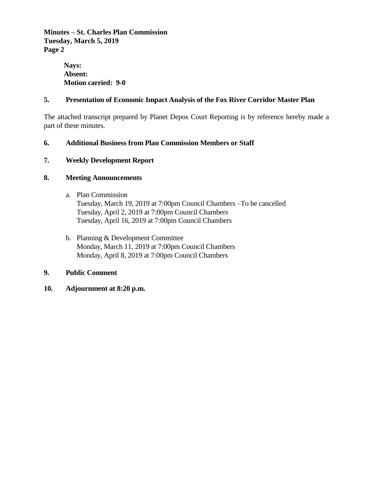**Minutes – St. Charles Plan Commission Tuesday, March 5, 2019 Page 2**

> **Nays: Absent: Motion carried: 9-0**

#### **5. Presentation of Economic Impact Analysis of the Fox River Corridor Master Plan**

The attached transcript prepared by Planet Depos Court Reporting is by reference hereby made a part of these minutes.

#### **6. Additional Business from Plan Commission Members or Staff**

#### **7. Weekly Development Report**

#### **8. Meeting Announcements**

- a. Plan Commission Tuesday, March 19, 2019 at 7:00pm Council Chambers –To be cancelled Tuesday, April 2, 2019 at 7:00pm Council Chambers Tuesday, April 16, 2019 at 7:00pm Council Chambers
- b. Planning & Development Committee Monday, March 11, 2019 at 7:00pm Council Chambers Monday, April 8, 2019 at 7:00pm Council Chambers

#### **9. Public Comment**

**10. Adjournment at 8:20 p.m.**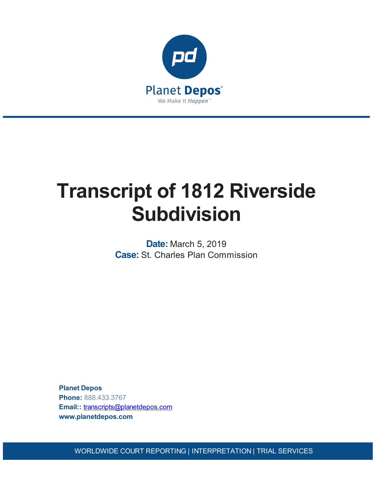

# **Transcript of 1812 Riverside Subdivision**

**Date:** March 5, 2019 **Case:** St. Charles Plan Commission

**Planet Depos Phone:** 888.433.3767 **Email::** [transcripts@planetdepos.com](mailto:transcripts@planetdepos.com) **www.planetdepos.com**

WORLDWIDE COURT REPORTING | INTERPRETATION | TRIAL SERVICES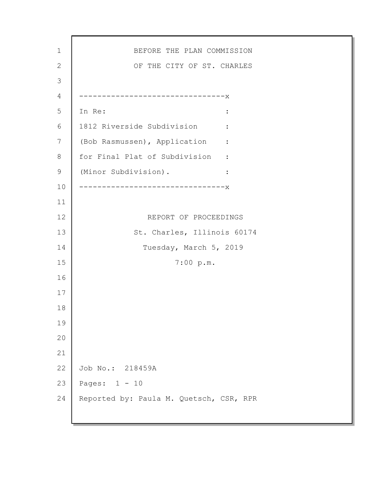1 2 3 4 5 6 7 8 9 10 11 12 13 14 15 16 17 18 19 20 21 22 23 24 BEFORE THE PLAN COMMISSION OF THE CITY OF ST. CHARLES --------------------------------x In Re:  $\qquad \qquad \blacksquare$ 1812 Riverside Subdivision : (Bob Rasmussen), Application : for Final Plat of Subdivision : (Minor Subdivision). : --------------------------------x REPORT OF PROCEEDINGS St. Charles, Illinois 60174 Tuesday, March 5, 2019 7:00 p.m. Job No.: 218459A Pages: 1 - 10 Reported by: Paula M. Quetsch, CSR, RPR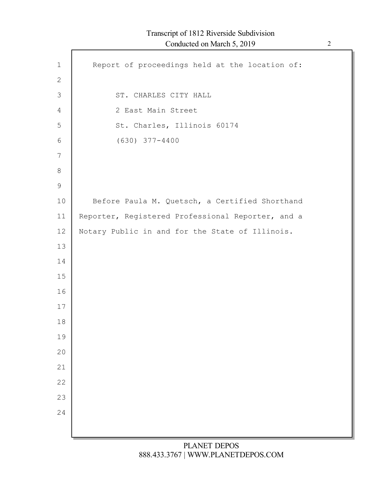# Transcript of 1812 Riverside Subdivision Conducted on March 5, 2019 2

| $\mathbf 1$   | Report of proceedings held at the location of:    |
|---------------|---------------------------------------------------|
| $\mathbf{2}$  |                                                   |
| 3             | ST. CHARLES CITY HALL                             |
| 4             | 2 East Main Street                                |
| 5             | St. Charles, Illinois 60174                       |
| 6             | $(630)$ $377 - 4400$                              |
| 7             |                                                   |
| $\,8\,$       |                                                   |
| $\mathcal{G}$ |                                                   |
| 10            | Before Paula M. Quetsch, a Certified Shorthand    |
| 11            | Reporter, Registered Professional Reporter, and a |
| 12            | Notary Public in and for the State of Illinois.   |
| 13            |                                                   |
| 14            |                                                   |
| 15            |                                                   |
| 16            |                                                   |
| 17            |                                                   |
| 18            |                                                   |
| 19            |                                                   |
| 20            |                                                   |
| 21            |                                                   |
| 22            |                                                   |
| 23            |                                                   |
| 24            |                                                   |
|               |                                                   |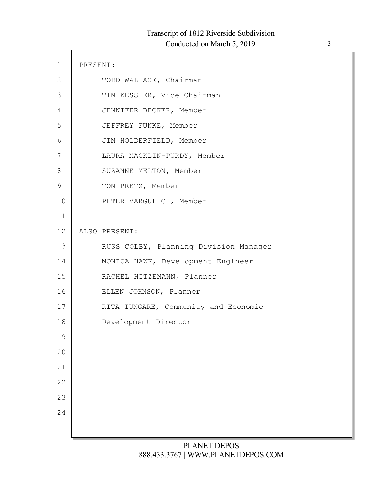| $1\,$         | PRESENT: |                                       |
|---------------|----------|---------------------------------------|
| $\mathbf{2}$  |          | TODD WALLACE, Chairman                |
| 3             |          | TIM KESSLER, Vice Chairman            |
| 4             |          | JENNIFER BECKER, Member               |
| 5             |          | JEFFREY FUNKE, Member                 |
| 6             |          | JIM HOLDERFIELD, Member               |
| 7             |          | LAURA MACKLIN-PURDY, Member           |
| 8             |          | SUZANNE MELTON, Member                |
| $\mathcal{G}$ |          | TOM PRETZ, Member                     |
| 10            |          | PETER VARGULICH, Member               |
| 11            |          |                                       |
| 12            |          | ALSO PRESENT:                         |
| 13            |          | RUSS COLBY, Planning Division Manager |
| 14            |          | MONICA HAWK, Development Engineer     |
| 15            |          | RACHEL HITZEMANN, Planner             |
| 16            |          | ELLEN JOHNSON, Planner                |
| 17            |          | RITA TUNGARE, Community and Economic  |
| 18            |          | Development Director                  |
| 19            |          |                                       |
| 20            |          |                                       |
| 21            |          |                                       |
| 22            |          |                                       |
| 23            |          |                                       |
| 24            |          |                                       |
|               |          |                                       |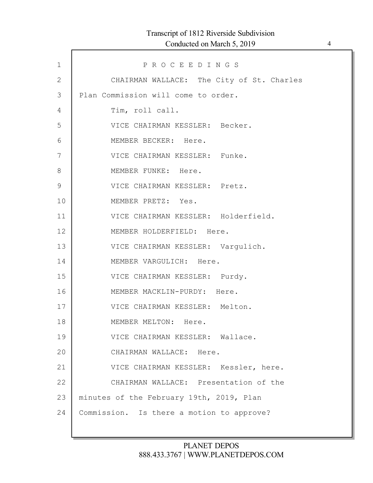# Transcript of 1812 Riverside Subdivision Conducted on March 5, 2019 4

| $\mathbf 1$   | PROCEEDINGS                               |
|---------------|-------------------------------------------|
| $\mathbf{2}$  | CHAIRMAN WALLACE: The City of St. Charles |
| 3             | Plan Commission will come to order.       |
| 4             | Tim, roll call.                           |
| 5             | VICE CHAIRMAN KESSLER: Becker.            |
| 6             | MEMBER BECKER: Here.                      |
| 7             | VICE CHAIRMAN KESSLER: Funke.             |
| 8             | MEMBER FUNKE: Here.                       |
| $\mathcal{G}$ | VICE CHAIRMAN KESSLER: Pretz.             |
| 10            | MEMBER PRETZ: Yes.                        |
| 11            | VICE CHAIRMAN KESSLER: Holderfield.       |
| 12            | MEMBER HOLDERFIELD: Here.                 |
| 13            | VICE CHAIRMAN KESSLER: Vargulich.         |
| 14            | MEMBER VARGULICH: Here.                   |
| 15            | VICE CHAIRMAN KESSLER: Purdy.             |
| 16            | MEMBER MACKLIN-PURDY: Here.               |
| 17            | VICE CHAIRMAN KESSLER: Melton.            |
| 18            | MEMBER MELTON: Here.                      |
| 19            | VICE CHAIRMAN KESSLER: Wallace.           |
| 20            | CHAIRMAN WALLACE: Here.                   |
| 21            | VICE CHAIRMAN KESSLER: Kessler, here.     |
| 22            | CHAIRMAN WALLACE: Presentation of the     |
| 23            | minutes of the February 19th, 2019, Plan  |
| 24            | Commission. Is there a motion to approve? |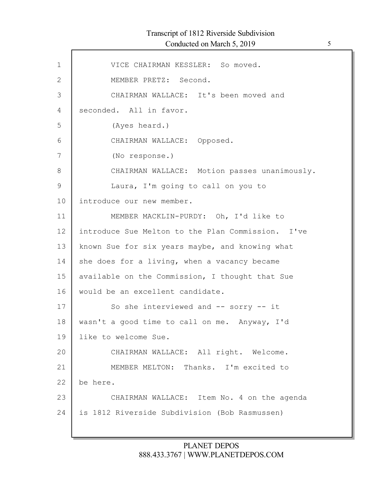# Transcript of 1812 Riverside Subdivision Conducted on March 5, 2019 5

Г

| $\mathbf 1$   | VICE CHAIRMAN KESSLER: So moved.                  |
|---------------|---------------------------------------------------|
| $\mathbf{2}$  | MEMBER PRETZ: Second.                             |
| 3             | CHAIRMAN WALLACE: It's been moved and             |
| 4             | seconded. All in favor.                           |
| 5             | (Ayes heard.)                                     |
| 6             | CHAIRMAN WALLACE: Opposed.                        |
| 7             | (No response.)                                    |
| 8             | CHAIRMAN WALLACE: Motion passes unanimously.      |
| $\mathcal{G}$ | Laura, I'm going to call on you to                |
| 10            | introduce our new member.                         |
| 11            | MEMBER MACKLIN-PURDY: Oh, I'd like to             |
| 12            | introduce Sue Melton to the Plan Commission. I've |
| 13            | known Sue for six years maybe, and knowing what   |
| 14            | she does for a living, when a vacancy became      |
| 15            | available on the Commission, I thought that Sue   |
| 16            | would be an excellent candidate.                  |
| 17            | So she interviewed and $--$ sorry $--$ it         |
| 18            | wasn't a good time to call on me. Anyway, I'd     |
| 19            | like to welcome Sue.                              |
| 20            | CHAIRMAN WALLACE: All right. Welcome.             |
| 21            | MEMBER MELTON: Thanks. I'm excited to             |
| 22            | be here.                                          |
| 23            | CHAIRMAN WALLACE: Item No. 4 on the agenda        |
| 24            | is 1812 Riverside Subdivision (Bob Rasmussen)     |
|               |                                                   |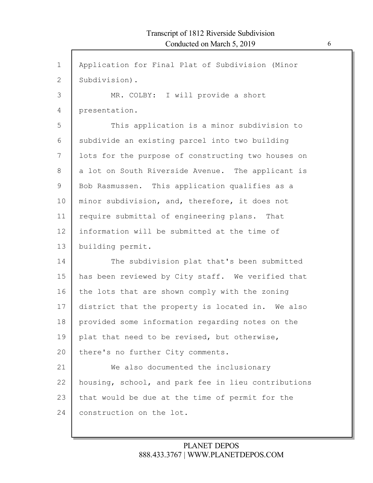| $\mathbf 1$  | Application for Final Plat of Subdivision (Minor    |
|--------------|-----------------------------------------------------|
| $\mathbf{2}$ | Subdivision).                                       |
| 3            | MR. COLBY: I will provide a short                   |
| 4            | presentation.                                       |
| 5            | This application is a minor subdivision to          |
| 6            | subdivide an existing parcel into two building      |
| 7            | lots for the purpose of constructing two houses on  |
| 8            | a lot on South Riverside Avenue. The applicant is   |
| 9            | Bob Rasmussen. This application qualifies as a      |
| 10           | minor subdivision, and, therefore, it does not      |
| 11           | require submittal of engineering plans. That        |
| 12           | information will be submitted at the time of        |
| 13           | building permit.                                    |
| 14           | The subdivision plat that's been submitted          |
| 15           | has been reviewed by City staff. We verified that   |
| 16           | the lots that are shown comply with the zoning      |
| 17           | district that the property is located in. We also   |
| 18           | provided some information regarding notes on the    |
| 19           | plat that need to be revised, but otherwise,        |
| 20           | there's no further City comments.                   |
| 21           | We also documented the inclusionary                 |
| 22           | housing, school, and park fee in lieu contributions |
| 23           | that would be due at the time of permit for the     |
| 24           | construction on the lot.                            |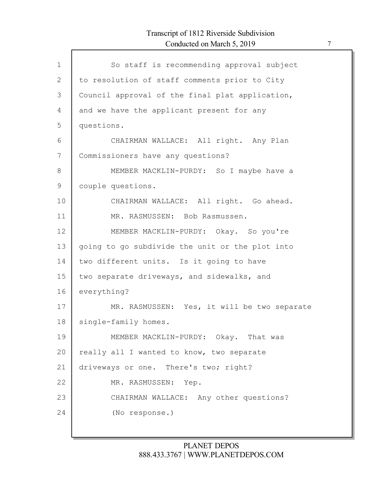# Transcript of 1812 Riverside Subdivision Conducted on March 5, 2019 7

| $\mathbf{1}$ | So staff is recommending approval subject       |
|--------------|-------------------------------------------------|
| 2            | to resolution of staff comments prior to City   |
|              |                                                 |
| 3            | Council approval of the final plat application, |
| 4            | and we have the applicant present for any       |
| 5            | questions.                                      |
| 6            | CHAIRMAN WALLACE: All right. Any Plan           |
| 7            | Commissioners have any questions?               |
| 8            | MEMBER MACKLIN-PURDY: So I maybe have a         |
| 9            | couple questions.                               |
| 10           | CHAIRMAN WALLACE: All right. Go ahead.          |
| 11           | MR. RASMUSSEN: Bob Rasmussen.                   |
| 12           | MEMBER MACKLIN-PURDY: Okay. So you're           |
| 13           | going to go subdivide the unit or the plot into |
| 14           | two different units. Is it going to have        |
| 15           | two separate driveways, and sidewalks, and      |
| 16           | everything?                                     |
| 17           | MR. RASMUSSEN: Yes, it will be two separate     |
| 18           | single-family homes.                            |
| 19           | MEMBER MACKLIN-PURDY: Okay. That was            |
| 20           | really all I wanted to know, two separate       |
| 21           | driveways or one. There's two; right?           |
| 22           | MR. RASMUSSEN: Yep.                             |
| 23           | CHAIRMAN WALLACE: Any other questions?          |
| 24           | (No response.)                                  |
|              |                                                 |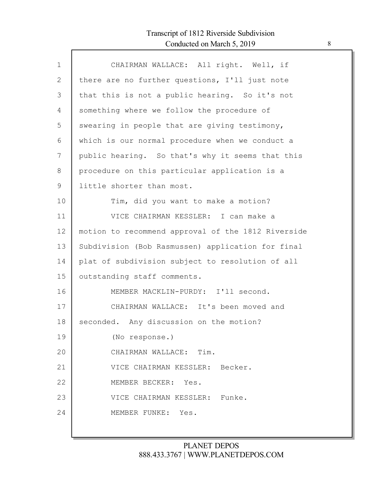# Transcript of 1812 Riverside Subdivision Conducted on March 5, 2019 8

| $\mathbf{1}$ | CHAIRMAN WALLACE: All right. Well, if              |
|--------------|----------------------------------------------------|
| $\mathbf{2}$ | there are no further questions, I'll just note     |
| 3            | that this is not a public hearing. So it's not     |
| 4            | something where we follow the procedure of         |
| 5            | swearing in people that are giving testimony,      |
| 6            | which is our normal procedure when we conduct a    |
| 7            | public hearing. So that's why it seems that this   |
| 8            | procedure on this particular application is a      |
| $\mathsf 9$  | little shorter than most.                          |
| 10           | Tim, did you want to make a motion?                |
| 11           | VICE CHAIRMAN KESSLER: I can make a                |
| 12           | motion to recommend approval of the 1812 Riverside |
| 13           | Subdivision (Bob Rasmussen) application for final  |
| 14           | plat of subdivision subject to resolution of all   |
| 15           | outstanding staff comments.                        |
| 16           | MEMBER MACKLIN-PURDY: I'll second.                 |
| 17           | CHAIRMAN WALLACE: It's been moved and              |
| 18           | seconded. Any discussion on the motion?            |
| 19           | (No response.)                                     |
| 20           | CHAIRMAN WALLACE: Tim.                             |
| 21           | VICE CHAIRMAN KESSLER: Becker.                     |
| 22           | MEMBER BECKER: Yes.                                |
| 23           | VICE CHAIRMAN KESSLER: Funke.                      |
| 24           | MEMBER FUNKE: Yes.                                 |
|              |                                                    |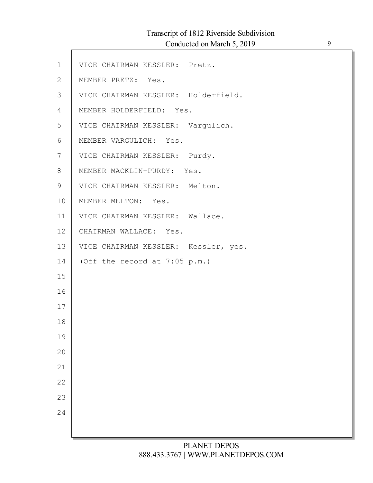# Transcript of 1812 Riverside Subdivision

Conducted on March 5, 2019 9

| $\mathbf 1$  | VICE CHAIRMAN KESSLER: Pretz.        |
|--------------|--------------------------------------|
| $\mathbf{2}$ | MEMBER PRETZ: Yes.                   |
| 3            | VICE CHAIRMAN KESSLER: Holderfield.  |
| 4            | MEMBER HOLDERFIELD: Yes.             |
| 5            | VICE CHAIRMAN KESSLER: Vargulich.    |
| 6            | MEMBER VARGULICH: Yes.               |
| 7            | VICE CHAIRMAN KESSLER: Purdy.        |
| 8            | MEMBER MACKLIN-PURDY: Yes.           |
| $\mathsf 9$  | VICE CHAIRMAN KESSLER: Melton.       |
| 10           | MEMBER MELTON: Yes.                  |
| 11           | VICE CHAIRMAN KESSLER: Wallace.      |
| 12           | CHAIRMAN WALLACE: Yes.               |
| 13           | VICE CHAIRMAN KESSLER: Kessler, yes. |
| 14           | (Off the record at 7:05 p.m.)        |
| 15           |                                      |
| 16           |                                      |
| 17           |                                      |
| 18           |                                      |
| 19           |                                      |
| 20           |                                      |
| 21           |                                      |
| 22           |                                      |
| 23           |                                      |
| 24           |                                      |
|              |                                      |
|              |                                      |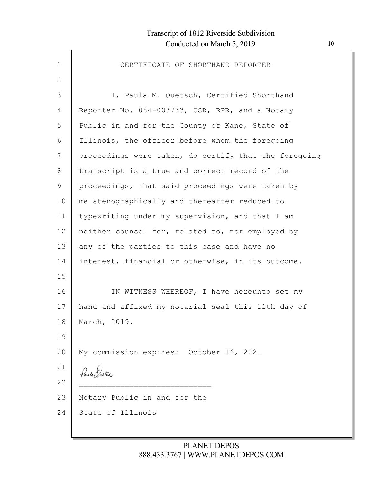| $\mathbf{1}$ | CERTIFICATE OF SHORTHAND REPORTER                     |
|--------------|-------------------------------------------------------|
| 2            |                                                       |
| 3            | I, Paula M. Quetsch, Certified Shorthand              |
| 4            | Reporter No. 084-003733, CSR, RPR, and a Notary       |
| 5            | Public in and for the County of Kane, State of        |
| 6            | Illinois, the officer before whom the foregoing       |
| 7            | proceedings were taken, do certify that the foregoing |
| 8            | transcript is a true and correct record of the        |
| 9            | proceedings, that said proceedings were taken by      |
| 10           | me stenographically and thereafter reduced to         |
| 11           | typewriting under my supervision, and that I am       |
| 12           | neither counsel for, related to, nor employed by      |
| 13           | any of the parties to this case and have no           |
| 14           | interest, financial or otherwise, in its outcome.     |
| 15           |                                                       |
| 16           | IN WITNESS WHEREOF, I have hereunto set my            |
| 17           | hand and affixed my notarial seal this 11th day of    |
| 18           | March, 2019.                                          |
| 19           |                                                       |
| 20           | My commission expires: October 16, 2021               |
| 21           | Paul Pretty                                           |
| 22           |                                                       |
| 23           | Notary Public in and for the                          |
| 24           | State of Illinois                                     |
|              |                                                       |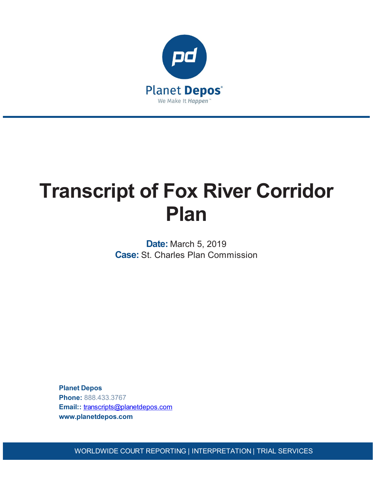

# **Transcript of Fox River Corridor Plan**

**Date:** March 5, 2019 **Case:** St. Charles Plan Commission

**Planet Depos Phone:** 888.433.3767 **Email::** [transcripts@planetdepos.com](mailto:transcripts@planetdepos.com) **www.planetdepos.com**

WORLDWIDE COURT REPORTING | INTERPRETATION | TRIAL SERVICES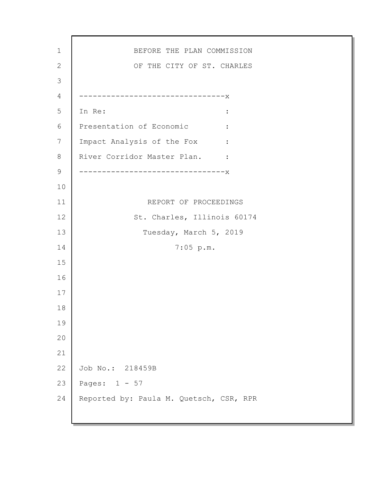BEFORE THE PLAN COMMISSION OF THE CITY OF ST. CHARLES --------------------------------x In Re:  $\qquad \qquad \blacksquare$ Presentation of Economic : Impact Analysis of the Fox : River Corridor Master Plan. : --------------------------------x REPORT OF PROCEEDINGS St. Charles, Illinois 60174 Tuesday, March 5, 2019 7:05 p.m. Job No.: 218459B Pages: 1 - 57 Reported by: Paula M. Quetsch, CSR, RPR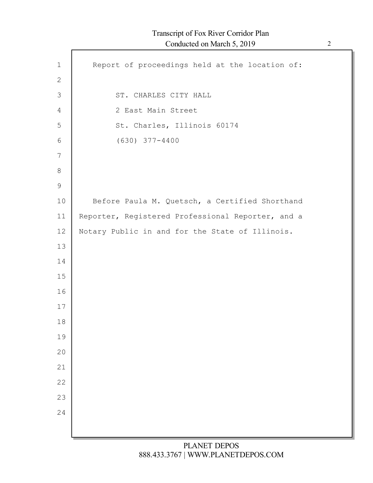| $\mathbf 1$    | Report of proceedings held at the location of:    |
|----------------|---------------------------------------------------|
| $\mathbf{2}$   |                                                   |
| 3              | ST. CHARLES CITY HALL                             |
| $\overline{4}$ | 2 East Main Street                                |
| 5              | St. Charles, Illinois 60174                       |
| 6              | $(630)$ $377 - 4400$                              |
| 7              |                                                   |
| 8              |                                                   |
| $\overline{9}$ |                                                   |
| 10             | Before Paula M. Quetsch, a Certified Shorthand    |
| 11             | Reporter, Registered Professional Reporter, and a |
| 12             | Notary Public in and for the State of Illinois.   |
| 13             |                                                   |
| 14             |                                                   |
| 15             |                                                   |
| 16             |                                                   |
| 17             |                                                   |
| 18             |                                                   |
| 19<br>20       |                                                   |
| 21             |                                                   |
| 22             |                                                   |
| 23             |                                                   |
| 24             |                                                   |
|                |                                                   |
|                |                                                   |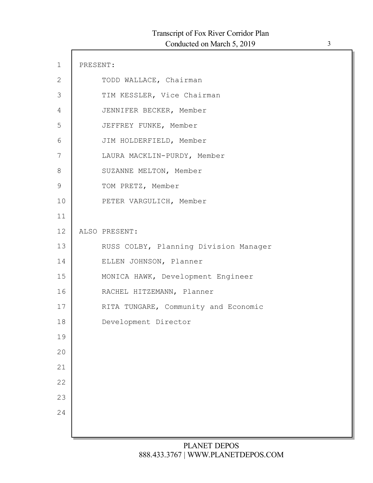| $\mathbf 1$   | PRESENT: |                                       |
|---------------|----------|---------------------------------------|
| $\mathbf{2}$  |          | TODD WALLACE, Chairman                |
| $\Im$         |          | TIM KESSLER, Vice Chairman            |
| 4             |          | JENNIFER BECKER, Member               |
| 5             |          | JEFFREY FUNKE, Member                 |
| 6             |          | JIM HOLDERFIELD, Member               |
| 7             |          | LAURA MACKLIN-PURDY, Member           |
| 8             |          | SUZANNE MELTON, Member                |
| $\mathcal{G}$ |          | TOM PRETZ, Member                     |
| 10            |          | PETER VARGULICH, Member               |
| 11            |          |                                       |
| 12            |          | ALSO PRESENT:                         |
| 13            |          | RUSS COLBY, Planning Division Manager |
| 14            |          | ELLEN JOHNSON, Planner                |
| 15            |          | MONICA HAWK, Development Engineer     |
| 16            |          | RACHEL HITZEMANN, Planner             |
| 17            |          | RITA TUNGARE, Community and Economic  |
| 18            |          | Development Director                  |
| 19            |          |                                       |
| 20            |          |                                       |
| 21            |          |                                       |
| 22            |          |                                       |
| 23            |          |                                       |
| 24            |          |                                       |
|               |          |                                       |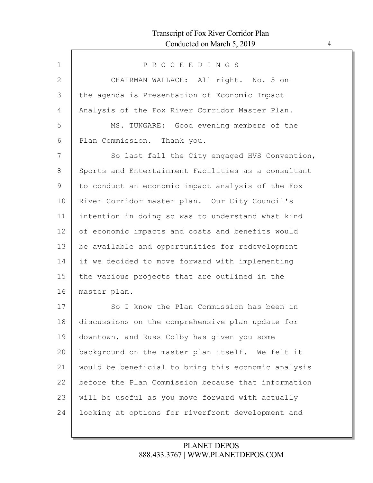| $\mathbf{1}$  | PROCEEDINGS                                         |
|---------------|-----------------------------------------------------|
| 2             | CHAIRMAN WALLACE: All right. No. 5 on               |
| 3             | the agenda is Presentation of Economic Impact       |
| 4             | Analysis of the Fox River Corridor Master Plan.     |
| 5             | MS. TUNGARE: Good evening members of the            |
| 6             | Plan Commission. Thank you.                         |
| 7             | So last fall the City engaged HVS Convention,       |
| $8\,$         | Sports and Entertainment Facilities as a consultant |
| $\mathcal{G}$ | to conduct an economic impact analysis of the Fox   |
| 10            | River Corridor master plan. Our City Council's      |
| 11            | intention in doing so was to understand what kind   |
| 12            | of economic impacts and costs and benefits would    |
| 13            | be available and opportunities for redevelopment    |
| 14            | if we decided to move forward with implementing     |
| 15            | the various projects that are outlined in the       |
| 16            | master plan.                                        |
| 17            | So I know the Plan Commission has been in           |
| 18            | discussions on the comprehensive plan update for    |
| 19            | downtown, and Russ Colby has given you some         |
| 20            | background on the master plan itself. We felt it    |
| 21            | would be beneficial to bring this economic analysis |
| 22            | before the Plan Commission because that information |
| 23            | will be useful as you move forward with actually    |
| 24            | looking at options for riverfront development and   |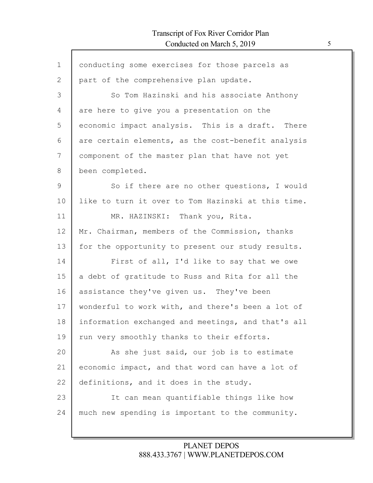| conducting some exercises for those parcels as     |
|----------------------------------------------------|
| part of the comprehensive plan update.             |
| So Tom Hazinski and his associate Anthony          |
| are here to give you a presentation on the         |
| economic impact analysis. This is a draft. There   |
| are certain elements, as the cost-benefit analysis |
| component of the master plan that have not yet     |
| been completed.                                    |
| So if there are no other questions, I would        |
| like to turn it over to Tom Hazinski at this time. |
| MR. HAZINSKI: Thank you, Rita.                     |
| Mr. Chairman, members of the Commission, thanks    |
| for the opportunity to present our study results.  |
| First of all, I'd like to say that we owe          |
| a debt of gratitude to Russ and Rita for all the   |
| assistance they've given us. They've been          |
| wonderful to work with, and there's been a lot of  |
| information exchanged and meetings, and that's all |
| run very smoothly thanks to their efforts.         |
| As she just said, our job is to estimate           |
| economic impact, and that word can have a lot of   |
| definitions, and it does in the study.             |
| It can mean quantifiable things like how           |
| much new spending is important to the community.   |
|                                                    |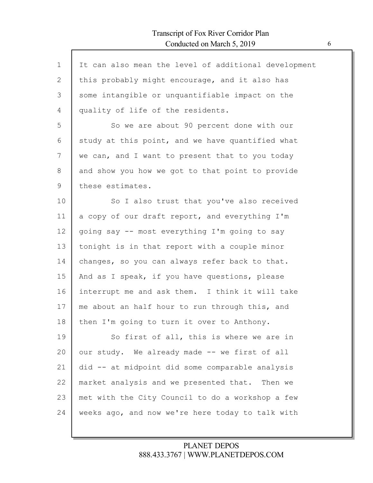$\mathsf{l}$ 

| $\mathbf 1$ | It can also mean the level of additional development |
|-------------|------------------------------------------------------|
| 2           | this probably might encourage, and it also has       |
| 3           | some intangible or unquantifiable impact on the      |
| 4           | quality of life of the residents.                    |
| 5           | So we are about 90 percent done with our             |
| 6           | study at this point, and we have quantified what     |
| 7           | we can, and I want to present that to you today      |
| $8\,$       | and show you how we got to that point to provide     |
| 9           | these estimates.                                     |
| 10          | So I also trust that you've also received            |
| 11          | a copy of our draft report, and everything I'm       |
| 12          | going say -- most everything I'm going to say        |
| 13          | tonight is in that report with a couple minor        |
| 14          | changes, so you can always refer back to that.       |
| 15          | And as I speak, if you have questions, please        |
| 16          | interrupt me and ask them. I think it will take      |
| 17          | me about an half hour to run through this, and       |
| 18          | then I'm going to turn it over to Anthony.           |
| 19          | So first of all, this is where we are in             |
| 20          | our study. We already made -- we first of all        |
| 21          | did -- at midpoint did some comparable analysis      |
| 22          | market analysis and we presented that. Then we       |
| 23          | met with the City Council to do a workshop a few     |
| 24          | weeks ago, and now we're here today to talk with     |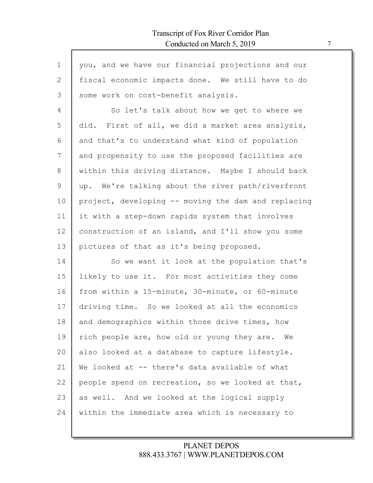| $\mathbf 1$  | you, and we have our financial projections and our  |
|--------------|-----------------------------------------------------|
| $\mathbf{2}$ | fiscal economic impacts done. We still have to do   |
| 3            | some work on cost-benefit analysis.                 |
| 4            | So let's talk about how we get to where we          |
| 5            | did. First of all, we did a market area analysis,   |
| 6            | and that's to understand what kind of population    |
| 7            | and propensity to use the proposed facilities are   |
| 8            | within this driving distance. Maybe I should back   |
| 9            | up. We're talking about the river path/riverfront   |
| 10           | project, developing -- moving the dam and replacing |
| 11           | it with a step-down rapids system that involves     |
| 12           | construction of an island, and I'll show you some   |
| 13           | pictures of that as it's being proposed.            |
| 14           | So we want it look at the population that's         |
| 15           | likely to use it. For most activities they come     |
| 16           | from within a 15-minute, 30-minute, or 60-minute    |
| 17           | driving time. So we looked at all the economics     |
| 18           | and demographics within those drive times, how      |
| 19           | rich people are, how old or young they are. We      |
| 20           | also looked at a database to capture lifestyle.     |
| 21           | We looked at -- there's data available of what      |
| 22           | people spend on recreation, so we looked at that,   |
| 23           | as well. And we looked at the logical supply        |
| 24           | within the immediate area which is necessary to     |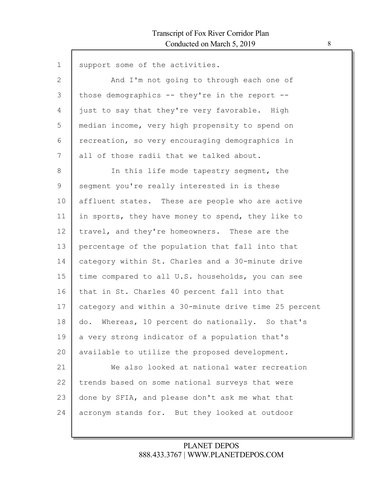$\mathsf{l}$ 

| $\mathbf 1$  | support some of the activities.                       |
|--------------|-------------------------------------------------------|
| $\mathbf{2}$ | And I'm not going to through each one of              |
| 3            | those demographics $--$ they're in the report $--$    |
| 4            | just to say that they're very favorable. High         |
| 5            | median income, very high propensity to spend on       |
| 6            | recreation, so very encouraging demographics in       |
| 7            | all of those radii that we talked about.              |
| 8            | In this life mode tapestry segment, the               |
| 9            | seqment you're really interested in is these          |
| 10           | affluent states. These are people who are active      |
| 11           | in sports, they have money to spend, they like to     |
| 12           | travel, and they're homeowners. These are the         |
| 13           | percentage of the population that fall into that      |
| 14           | category within St. Charles and a 30-minute drive     |
| 15           | time compared to all U.S. households, you can see     |
| 16           | that in St. Charles 40 percent fall into that         |
| 17           | category and within a 30-minute drive time 25 percent |
| 18           | Whereas, 10 percent do nationally. So that's<br>do.   |
| 19           | a very strong indicator of a population that's        |
| 20           | available to utilize the proposed development.        |
| 21           | We also looked at national water recreation           |
| 22           | trends based on some national surveys that were       |
| 23           | done by SFIA, and please don't ask me what that       |
| 24           | acronym stands for. But they looked at outdoor        |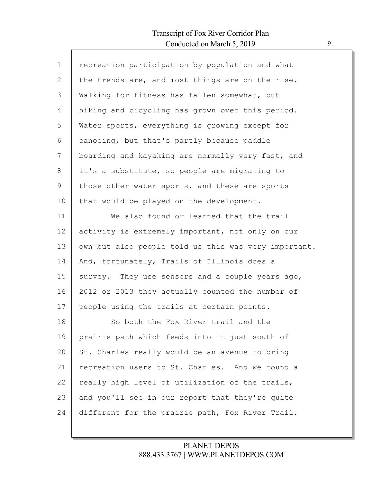$\Gamma$ 

| $\mathbf{1}$   | recreation participation by population and what      |
|----------------|------------------------------------------------------|
| $\overline{2}$ | the trends are, and most things are on the rise.     |
| 3              | Walking for fitness has fallen somewhat, but         |
| 4              | hiking and bicycling has grown over this period.     |
| 5              | Water sports, everything is growing except for       |
| 6              | canoeing, but that's partly because paddle           |
| 7              | boarding and kayaking are normally very fast, and    |
| 8              | it's a substitute, so people are migrating to        |
| 9              | those other water sports, and these are sports       |
| 10             | that would be played on the development.             |
| 11             | We also found or learned that the trail              |
| 12             | activity is extremely important, not only on our     |
| 13             | own but also people told us this was very important. |
| 14             | And, fortunately, Trails of Illinois does a          |
| 15             | survey. They use sensors and a couple years ago,     |
| 16             | 2012 or 2013 they actually counted the number of     |
| 17             | people using the trails at certain points.           |
| 18             | So both the Fox River trail and the                  |
| 19             | prairie path which feeds into it just south of       |
| 20             | St. Charles really would be an avenue to bring       |
| 21             | recreation users to St. Charles. And we found a      |
| 22             | really high level of utilization of the trails,      |
| 23             | and you'll see in our report that they're quite      |
| 24             | different for the prairie path, Fox River Trail.     |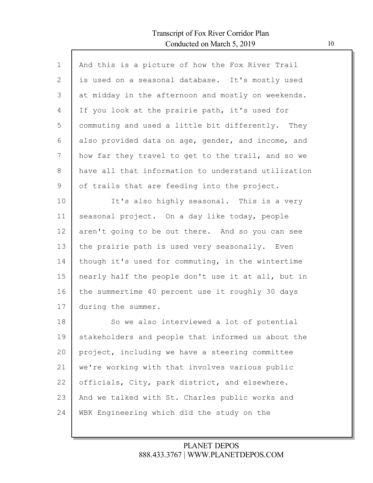| $\mathbf{1}$ | And this is a picture of how the Fox River Trail    |
|--------------|-----------------------------------------------------|
| 2            | is used on a seasonal database. It's mostly used    |
| 3            | at midday in the afternoon and mostly on weekends.  |
| 4            | If you look at the prairie path, it's used for      |
| 5            | commuting and used a little bit differently. They   |
| 6            | also provided data on age, gender, and income, and  |
| 7            | how far they travel to get to the trail, and so we  |
| 8            | have all that information to understand utilization |
| 9            | of trails that are feeding into the project.        |
| 10           | It's also highly seasonal. This is a very           |
| 11           | seasonal project. On a day like today, people       |
| 12           | aren't going to be out there. And so you can see    |
| 13           | the prairie path is used very seasonally. Even      |
| 14           | though it's used for commuting, in the wintertime   |
| 15           | nearly half the people don't use it at all, but in  |
| 16           | the summertime 40 percent use it roughly 30 days    |
| 17           | during the summer.                                  |
| 18           | So we also interviewed a lot of potential           |
| 19           | stakeholders and people that informed us about the  |
| 20           | project, including we have a steering committee     |
| 21           | we're working with that involves various public     |
| 22           | officials, City, park district, and elsewhere.      |
| 23           | And we talked with St. Charles public works and     |
| 24           | WBK Engineering which did the study on the          |
|              |                                                     |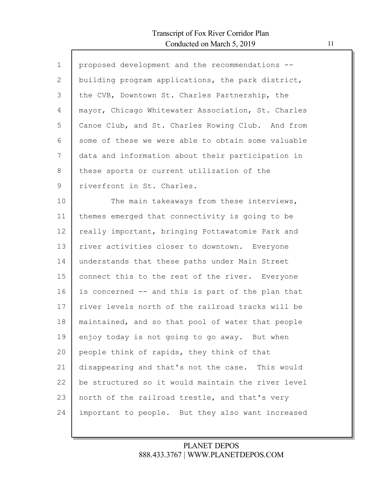$\mathsf{l}$ 

| $\mathbf 1$ | proposed development and the recommendations --    |
|-------------|----------------------------------------------------|
| 2           | building program applications, the park district,  |
| 3           | the CVB, Downtown St. Charles Partnership, the     |
| 4           | mayor, Chicago Whitewater Association, St. Charles |
| 5           | Canoe Club, and St. Charles Rowing Club. And from  |
| 6           | some of these we were able to obtain some valuable |
| 7           | data and information about their participation in  |
| 8           | these sports or current utilization of the         |
| 9           | riverfront in St. Charles.                         |
| 10          | The main takeaways from these interviews,          |
| 11          | themes emerged that connectivity is going to be    |
| 12          | really important, bringing Pottawatomie Park and   |
| 13          | river activities closer to downtown. Everyone      |
| 14          | understands that these paths under Main Street     |
| 15          | connect this to the rest of the river. Everyone    |
| 16          | is concerned -- and this is part of the plan that  |
| 17          | river levels north of the railroad tracks will be  |
| 18          | maintained, and so that pool of water that people  |
| 19          | enjoy today is not going to go away. But when      |
| 20          | people think of rapids, they think of that         |
| 21          | disappearing and that's not the case. This would   |
| 22          | be structured so it would maintain the river level |
| 23          | north of the railroad trestle, and that's very     |
| 24          | important to people. But they also want increased  |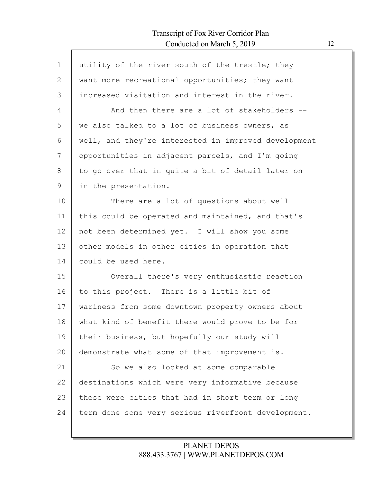| $\mathbf{1}$  | utility of the river south of the trestle; they      |
|---------------|------------------------------------------------------|
| 2             | want more recreational opportunities; they want      |
| 3             | increased visitation and interest in the river.      |
| 4             | And then there are a lot of stakeholders --          |
| 5             | we also talked to a lot of business owners, as       |
| 6             | well, and they're interested in improved development |
| 7             | opportunities in adjacent parcels, and I'm going     |
| 8             | to go over that in quite a bit of detail later on    |
| $\mathcal{G}$ | in the presentation.                                 |
| 10            | There are a lot of questions about well              |
| 11            | this could be operated and maintained, and that's    |
| 12            | not been determined yet. I will show you some        |
| 13            | other models in other cities in operation that       |
| 14            | could be used here.                                  |
| 15            | Overall there's very enthusiastic reaction           |
| 16            | to this project. There is a little bit of            |
| 17            | wariness from some downtown property owners about    |
| 18            | what kind of benefit there would prove to be for     |
| 19            | their business, but hopefully our study will         |
| 20            | demonstrate what some of that improvement is.        |
| 21            | So we also looked at some comparable                 |
| 22            | destinations which were very informative because     |
| 23            | these were cities that had in short term or long     |
| 24            | term done some very serious riverfront development.  |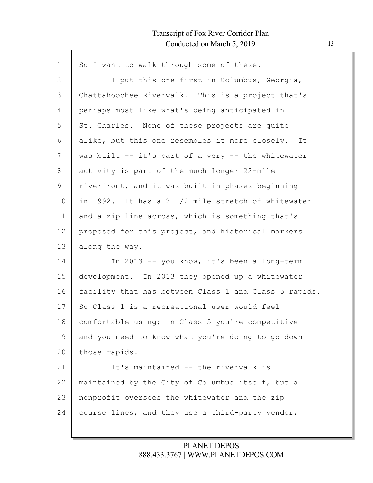| $\mathbf 1$ | So I want to walk through some of these.              |
|-------------|-------------------------------------------------------|
| 2           | I put this one first in Columbus, Georgia,            |
| 3           | Chattahoochee Riverwalk. This is a project that's     |
| 4           | perhaps most like what's being anticipated in         |
| 5           | St. Charles. None of these projects are quite         |
| 6           | alike, but this one resembles it more closely. It     |
| 7           | was built -- it's part of a very -- the whitewater    |
| 8           | activity is part of the much longer 22-mile           |
| 9           | riverfront, and it was built in phases beginning      |
| 10          | in 1992. It has a 2 1/2 mile stretch of whitewater    |
| 11          | and a zip line across, which is something that's      |
| 12          | proposed for this project, and historical markers     |
| 13          | along the way.                                        |
| 14          | In 2013 -- you know, it's been a long-term            |
| 15          | development. In 2013 they opened up a whitewater      |
| 16          | facility that has between Class 1 and Class 5 rapids. |
| 17          | So Class 1 is a recreational user would feel          |
| 18          | comfortable using; in Class 5 you're competitive      |
| 19          | and you need to know what you're doing to go down     |
| 20          | those rapids.                                         |
| 21          | It's maintained -- the riverwalk is                   |
| 22          | maintained by the City of Columbus itself, but a      |
| 23          | nonprofit oversees the whitewater and the zip         |
| 24          | course lines, and they use a third-party vendor,      |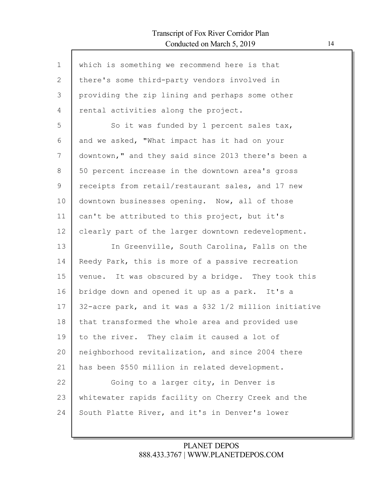$\mathsf{l}$ 

| $\mathbf{1}$ | which is something we recommend here is that           |
|--------------|--------------------------------------------------------|
| 2            | there's some third-party vendors involved in           |
| 3            | providing the zip lining and perhaps some other        |
| 4            | rental activities along the project.                   |
| 5            | So it was funded by 1 percent sales tax,               |
| 6            | and we asked, "What impact has it had on your          |
| 7            | downtown," and they said since 2013 there's been a     |
| 8            | 50 percent increase in the downtown area's gross       |
| 9            | receipts from retail/restaurant sales, and 17 new      |
| 10           | downtown businesses opening. Now, all of those         |
| 11           | can't be attributed to this project, but it's          |
| 12           | clearly part of the larger downtown redevelopment.     |
| 13           | In Greenville, South Carolina, Falls on the            |
| 14           | Reedy Park, this is more of a passive recreation       |
| 15           | venue. It was obscured by a bridge. They took this     |
| 16           | bridge down and opened it up as a park. It's a         |
| 17           | 32-acre park, and it was a \$32 1/2 million initiative |
| 18           | that transformed the whole area and provided use       |
| 19           | to the river. They claim it caused a lot of            |
| 20           | neighborhood revitalization, and since 2004 there      |
| 21           | has been \$550 million in related development.         |
| 22           | Going to a larger city, in Denver is                   |
| 23           | whitewater rapids facility on Cherry Creek and the     |
| 24           | South Platte River, and it's in Denver's lower         |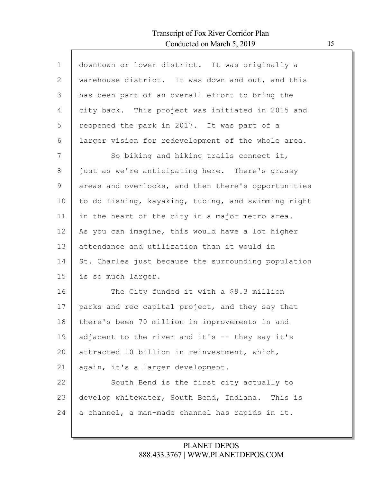Г

| $\mathbf 1$ | downtown or lower district. It was originally a     |
|-------------|-----------------------------------------------------|
| 2           | warehouse district. It was down and out, and this   |
| 3           | has been part of an overall effort to bring the     |
| 4           | city back. This project was initiated in 2015 and   |
| 5           | reopened the park in 2017. It was part of a         |
| 6           | larger vision for redevelopment of the whole area.  |
| 7           | So biking and hiking trails connect it,             |
| 8           | just as we're anticipating here. There's grassy     |
| 9           | areas and overlooks, and then there's opportunities |
| 10          | to do fishing, kayaking, tubing, and swimming right |
| 11          | in the heart of the city in a major metro area.     |
| 12          | As you can imagine, this would have a lot higher    |
| 13          | attendance and utilization than it would in         |
| 14          | St. Charles just because the surrounding population |
| 15          | is so much larger.                                  |
| 16          | The City funded it with a \$9.3 million             |
| 17          | parks and rec capital project, and they say that    |
| 18          | there's been 70 million in improvements in and      |
| 19          | adjacent to the river and it's -- they say it's     |
| 20          | attracted 10 billion in reinvestment, which,        |
| 21          | again, it's a larger development.                   |
| 22          | South Bend is the first city actually to            |
| 23          | develop whitewater, South Bend, Indiana. This is    |
| 24          | a channel, a man-made channel has rapids in it.     |
|             |                                                     |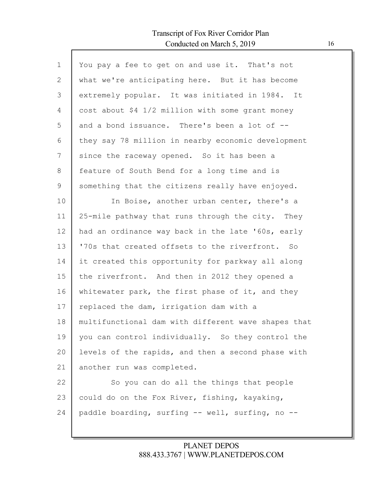Г

| $\mathbf 1$ | You pay a fee to get on and use it. That's not      |
|-------------|-----------------------------------------------------|
| 2           | what we're anticipating here. But it has become     |
| 3           | extremely popular. It was initiated in 1984. It     |
| 4           | cost about \$4 1/2 million with some grant money    |
| 5           | and a bond issuance. There's been a lot of --       |
| 6           | they say 78 million in nearby economic development  |
| 7           | since the raceway opened. So it has been a          |
| 8           | feature of South Bend for a long time and is        |
| 9           | something that the citizens really have enjoyed.    |
| 10          | In Boise, another urban center, there's a           |
| 11          | 25-mile pathway that runs through the city. They    |
| 12          | had an ordinance way back in the late '60s, early   |
| 13          | '70s that created offsets to the riverfront. So     |
| 14          | it created this opportunity for parkway all along   |
| 15          | the riverfront. And then in 2012 they opened a      |
| 16          | whitewater park, the first phase of it, and they    |
| 17          | replaced the dam, irrigation dam with a             |
| 18          | multifunctional dam with different wave shapes that |
| 19          | you can control individually. So they control the   |
| 20          | levels of the rapids, and then a second phase with  |
| 21          | another run was completed.                          |
| 22          | So you can do all the things that people            |
| 23          | could do on the Fox River, fishing, kayaking,       |
| 24          | paddle boarding, surfing -- well, surfing, no --    |
|             |                                                     |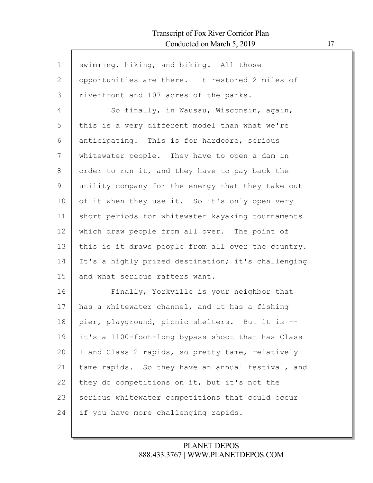| $\mathbf 1$ | swimming, hiking, and biking. All those            |
|-------------|----------------------------------------------------|
|             |                                                    |
| 2           | opportunities are there. It restored 2 miles of    |
| 3           | riverfront and 107 acres of the parks.             |
| 4           | So finally, in Wausau, Wisconsin, again,           |
| 5           | this is a very different model than what we're     |
| 6           | anticipating. This is for hardcore, serious        |
| 7           | whitewater people. They have to open a dam in      |
| 8           | order to run it, and they have to pay back the     |
| 9           | utility company for the energy that they take out  |
| 10          | of it when they use it. So it's only open very     |
| 11          | short periods for whitewater kayaking tournaments  |
| 12          | which draw people from all over. The point of      |
| 13          | this is it draws people from all over the country. |
| 14          | It's a highly prized destination; it's challenging |
| 15          | and what serious rafters want.                     |
| 16          | Finally, Yorkville is your neighbor that           |
| 17          | has a whitewater channel, and it has a fishing     |
| 18          | pier, playground, picnic shelters. But it is --    |
| 19          | it's a 1100-foot-long bypass shoot that has Class  |
| 20          | 1 and Class 2 rapids, so pretty tame, relatively   |
| 21          | tame rapids. So they have an annual festival, and  |
| 22          | they do competitions on it, but it's not the       |
| 23          | serious whitewater competitions that could occur   |
| 24          | if you have more challenging rapids.               |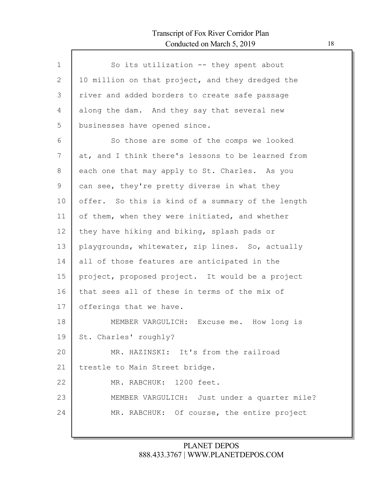Г

| $\mathbf{1}$ | So its utilization -- they spent about             |
|--------------|----------------------------------------------------|
| 2            | 10 million on that project, and they dredged the   |
| 3            | river and added borders to create safe passage     |
| 4            | along the dam. And they say that several new       |
| 5            | businesses have opened since.                      |
| 6            | So those are some of the comps we looked           |
| 7            | at, and I think there's lessons to be learned from |
| 8            | each one that may apply to St. Charles. As you     |
| 9            | can see, they're pretty diverse in what they       |
| 10           | offer. So this is kind of a summary of the length  |
| 11           | of them, when they were initiated, and whether     |
| 12           | they have hiking and biking, splash pads or        |
| 13           | playgrounds, whitewater, zip lines. So, actually   |
| 14           | all of those features are anticipated in the       |
| 15           | project, proposed project. It would be a project   |
| 16           | that sees all of these in terms of the mix of      |
| 17           | offerings that we have.                            |
| 18           | MEMBER VARGULICH: Excuse me. How long is           |
| 19           | St. Charles' roughly?                              |
| 20           | MR. HAZINSKI: It's from the railroad               |
| 21           | trestle to Main Street bridge.                     |
| 22           | 1200 feet.<br>MR. RABCHUK:                         |
| 23           | MEMBER VARGULICH: Just under a quarter mile?       |
| 24           | MR. RABCHUK: Of course, the entire project         |
|              |                                                    |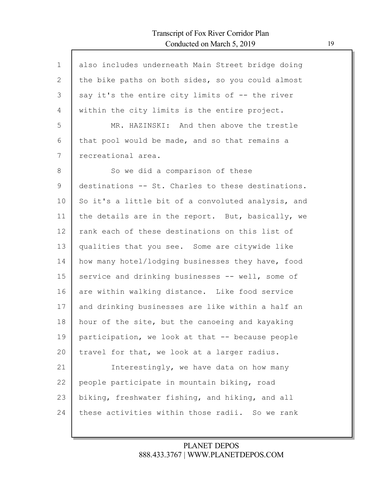| $\mathbf 1$    | also includes underneath Main Street bridge doing  |
|----------------|----------------------------------------------------|
| $\mathbf{2}$   | the bike paths on both sides, so you could almost  |
| 3              | say it's the entire city limits of -- the river    |
| $\overline{4}$ | within the city limits is the entire project.      |
| 5              | MR. HAZINSKI: And then above the trestle           |
| 6              | that pool would be made, and so that remains a     |
| 7              | recreational area.                                 |
| $8\,$          | So we did a comparison of these                    |
| 9              | destinations -- St. Charles to these destinations. |
| 10             | So it's a little bit of a convoluted analysis, and |
| 11             | the details are in the report. But, basically, we  |
| 12             | rank each of these destinations on this list of    |
| 13             | qualities that you see. Some are citywide like     |
| 14             | how many hotel/lodging businesses they have, food  |
| 15             | service and drinking businesses -- well, some of   |
| 16             | are within walking distance. Like food service     |
| 17             | and drinking businesses are like within a half an  |
| 18             | hour of the site, but the canoeing and kayaking    |
| 19             | participation, we look at that -- because people   |
| 20             | travel for that, we look at a larger radius.       |
| 21             | Interestingly, we have data on how many            |
| 22             | people participate in mountain biking, road        |
| 23             | biking, freshwater fishing, and hiking, and all    |
| 24             | these activities within those radii. So we rank    |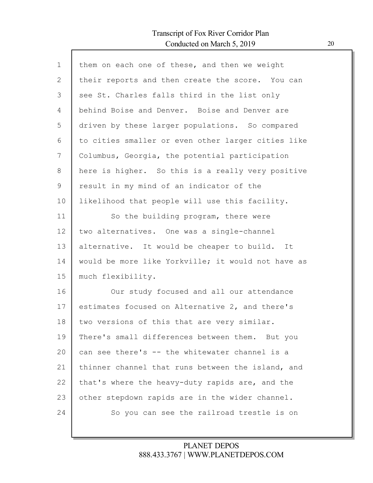Г

| them on each one of these, and then we weight<br>their reports and then create the score. You can<br>see St. Charles falls third in the list only |
|---------------------------------------------------------------------------------------------------------------------------------------------------|
|                                                                                                                                                   |
|                                                                                                                                                   |
|                                                                                                                                                   |
| behind Boise and Denver. Boise and Denver are                                                                                                     |
| driven by these larger populations. So compared                                                                                                   |
| to cities smaller or even other larger cities like                                                                                                |
| Columbus, Georgia, the potential participation                                                                                                    |
| here is higher. So this is a really very positive                                                                                                 |
| result in my mind of an indicator of the                                                                                                          |
| likelihood that people will use this facility.                                                                                                    |
| So the building program, there were                                                                                                               |
| two alternatives. One was a single-channel                                                                                                        |
| alternative. It would be cheaper to build. It                                                                                                     |
| would be more like Yorkville; it would not have as                                                                                                |
| much flexibility.                                                                                                                                 |
| Our study focused and all our attendance                                                                                                          |
| estimates focused on Alternative 2, and there's                                                                                                   |
| two versions of this that are very similar.                                                                                                       |
| There's small differences between them. But you                                                                                                   |
| can see there's -- the whitewater channel is a                                                                                                    |
| thinner channel that runs between the island, and                                                                                                 |
| that's where the heavy-duty rapids are, and the                                                                                                   |
| other stepdown rapids are in the wider channel.                                                                                                   |
| So you can see the railroad trestle is on                                                                                                         |
|                                                                                                                                                   |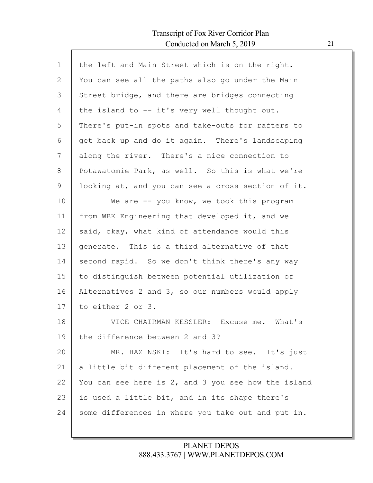| $\mathbf{1}$ | the left and Main Street which is on the right.     |
|--------------|-----------------------------------------------------|
| $\mathbf{2}$ | You can see all the paths also go under the Main    |
| 3            | Street bridge, and there are bridges connecting     |
| 4            | the island to -- it's very well thought out.        |
| 5            | There's put-in spots and take-outs for rafters to   |
| 6            | get back up and do it again. There's landscaping    |
| 7            | along the river. There's a nice connection to       |
| 8            | Potawatomie Park, as well. So this is what we're    |
| 9            | looking at, and you can see a cross section of it.  |
| 10           | We are -- you know, we took this program            |
| 11           | from WBK Engineering that developed it, and we      |
| 12           | said, okay, what kind of attendance would this      |
| 13           | generate. This is a third alternative of that       |
| 14           | second rapid. So we don't think there's any way     |
| 15           | to distinguish between potential utilization of     |
| 16           | Alternatives 2 and 3, so our numbers would apply    |
| 17           | to either 2 or 3.                                   |
| 18           | VICE CHAIRMAN KESSLER: Excuse me. What's            |
| 19           | the difference between 2 and 3?                     |
| 20           | MR. HAZINSKI: It's hard to see. It's just           |
| 21           | a little bit different placement of the island.     |
| 22           | You can see here is 2, and 3 you see how the island |
| 23           | is used a little bit, and in its shape there's      |
| 24           | some differences in where you take out and put in.  |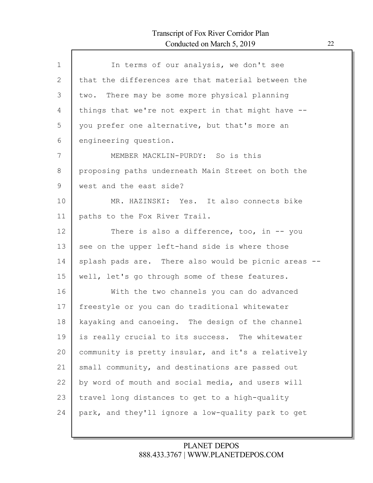| $\mathbf 1$ | In terms of our analysis, we don't see             |
|-------------|----------------------------------------------------|
| 2           | that the differences are that material between the |
| 3           | There may be some more physical planning<br>two.   |
| 4           | things that we're not expert in that might have -- |
| 5           | you prefer one alternative, but that's more an     |
| 6           | engineering question.                              |
| 7           | MEMBER MACKLIN-PURDY: So is this                   |
| 8           | proposing paths underneath Main Street on both the |
| 9           | west and the east side?                            |
| 10          | MR. HAZINSKI: Yes. It also connects bike           |
| 11          | paths to the Fox River Trail.                      |
| 12          | There is also a difference, too, in $-$ - you      |
| 13          | see on the upper left-hand side is where those     |
| 14          | splash pads are. There also would be picnic areas  |
| 15          | well, let's go through some of these features.     |
| 16          | With the two channels you can do advanced          |
| 17          | freestyle or you can do traditional whitewater     |
| 18          | kayaking and canoeing. The design of the channel   |
| 19          | is really crucial to its success. The whitewater   |
| 20          | community is pretty insular, and it's a relatively |
| 21          | small community, and destinations are passed out   |
| 22          | by word of mouth and social media, and users will  |
| 23          | travel long distances to get to a high-quality     |
| 24          | park, and they'll ignore a low-quality park to get |
|             |                                                    |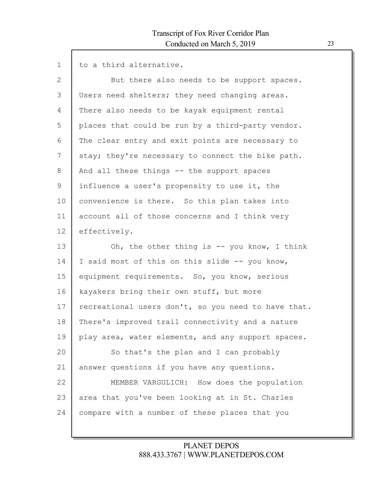| $\mathbf{1}$ | to a third alternative.                             |
|--------------|-----------------------------------------------------|
| $\mathbf{2}$ | But there also needs to be support spaces.          |
| 3            | Users need shelters; they need changing areas.      |
| 4            | There also needs to be kayak equipment rental       |
| 5            | places that could be run by a third-party vendor.   |
| 6            | The clear entry and exit points are necessary to    |
| 7            | stay; they're necessary to connect the bike path.   |
| 8            | And all these things -- the support spaces          |
| 9            | influence a user's propensity to use it, the        |
| 10           | convenience is there. So this plan takes into       |
| 11           | account all of those concerns and I think very      |
| 12           | effectively.                                        |
|              |                                                     |
| 13           | Oh, the other thing is $-$ you know, I think        |
| 14           | I said most of this on this slide -- you know,      |
| 15           | equipment requirements. So, you know, serious       |
| 16           | kayakers bring their own stuff, but more            |
| 17           | recreational users don't, so you need to have that. |
| 18           | There's improved trail connectivity and a nature    |
| 19           | play area, water elements, and any support spaces.  |
| 20           | So that's the plan and I can probably               |
| 21           | answer questions if you have any questions.         |
| 22           | MEMBER VARGULICH: How does the population           |
| 23           | area that you've been looking at in St. Charles     |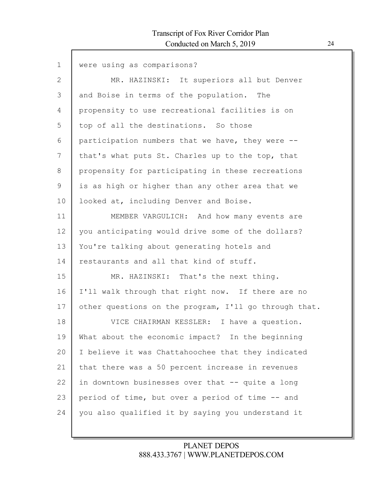| $\mathbf{1}$ | were using as comparisons?                            |
|--------------|-------------------------------------------------------|
|              |                                                       |
| 2            | MR. HAZINSKI: It superiors all but Denver             |
| 3            | and Boise in terms of the population. The             |
| 4            | propensity to use recreational facilities is on       |
| 5            | top of all the destinations. So those                 |
| 6            | participation numbers that we have, they were --      |
| 7            | that's what puts St. Charles up to the top, that      |
| 8            | propensity for participating in these recreations     |
| 9            | is as high or higher than any other area that we      |
| 10           | looked at, including Denver and Boise.                |
| 11           | MEMBER VARGULICH: And how many events are             |
| 12           | you anticipating would drive some of the dollars?     |
| 13           | You're talking about generating hotels and            |
| 14           | restaurants and all that kind of stuff.               |
| 15           | MR. HAZINSKI: That's the next thing.                  |
| 16           | I'll walk through that right now. If there are no     |
| 17           | other questions on the program, I'll go through that. |
| 18           | VICE CHAIRMAN KESSLER: I have a question.             |
| 19           | What about the economic impact? In the beginning      |
| 20           | I believe it was Chattahoochee that they indicated    |
| 21           | that there was a 50 percent increase in revenues      |
| 22           | in downtown businesses over that -- quite a long      |
| 23           | period of time, but over a period of time -- and      |
| 24           | you also qualified it by saying you understand it     |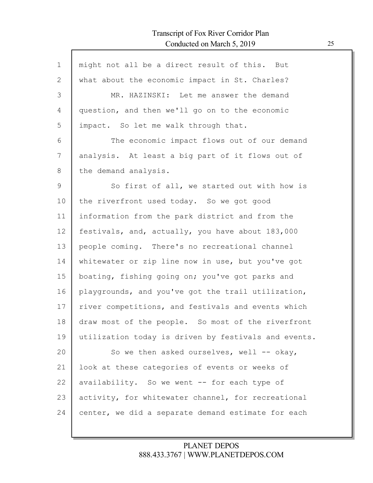$\mathsf{l}$ 

| $\mathbf 1$  | might not all be a direct result of this. But        |
|--------------|------------------------------------------------------|
| $\mathbf{2}$ | what about the economic impact in St. Charles?       |
| 3            | MR. HAZINSKI: Let me answer the demand               |
| 4            | question, and then we'll go on to the economic       |
| 5            | impact. So let me walk through that.                 |
| 6            | The economic impact flows out of our demand          |
| 7            | analysis. At least a big part of it flows out of     |
| $8\,$        | the demand analysis.                                 |
| $\mathsf 9$  | So first of all, we started out with how is          |
| 10           | the riverfront used today. So we got good            |
| 11           | information from the park district and from the      |
| 12           | festivals, and, actually, you have about 183,000     |
| 13           | people coming. There's no recreational channel       |
| 14           | whitewater or zip line now in use, but you've got    |
| 15           | boating, fishing going on; you've got parks and      |
| 16           | playgrounds, and you've got the trail utilization,   |
| 17           | river competitions, and festivals and events which   |
| 18           | draw most of the people. So most of the riverfront   |
| 19           | utilization today is driven by festivals and events. |
| 20           | So we then asked ourselves, well -- okay,            |
| 21           | look at these categories of events or weeks of       |
| 22           | availability. So we went -- for each type of         |
| 23           | activity, for whitewater channel, for recreational   |
| 24           | center, we did a separate demand estimate for each   |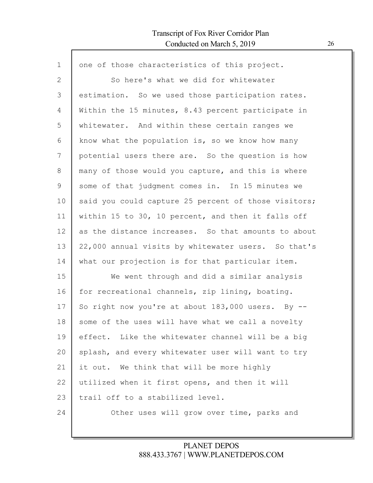$\mathsf{l}$ 

| $\mathbf 1$ | one of those characteristics of this project.        |
|-------------|------------------------------------------------------|
| 2           | So here's what we did for whitewater                 |
| 3           | estimation. So we used those participation rates.    |
| 4           | Within the 15 minutes, 8.43 percent participate in   |
| 5           | whitewater. And within these certain ranges we       |
| 6           | know what the population is, so we know how many     |
| 7           | potential users there are. So the question is how    |
| 8           | many of those would you capture, and this is where   |
| 9           | some of that judgment comes in. In 15 minutes we     |
| 10          | said you could capture 25 percent of those visitors; |
| 11          | within 15 to 30, 10 percent, and then it falls off   |
| 12          | as the distance increases. So that amounts to about  |
| 13          | 22,000 annual visits by whitewater users. So that's  |
| 14          | what our projection is for that particular item.     |
| 15          | We went through and did a similar analysis           |
| 16          | for recreational channels, zip lining, boating.      |
| 17          | So right now you're at about 183,000 users. By --    |
| 18          | some of the uses will have what we call a novelty    |
| 19          | effect. Like the whitewater channel will be a big    |
| 20          | splash, and every whitewater user will want to try   |
| 21          | it out. We think that will be more highly            |
| 22          | utilized when it first opens, and then it will       |
| 23          | trail off to a stabilized level.                     |
| 24          | Other uses will grow over time, parks and            |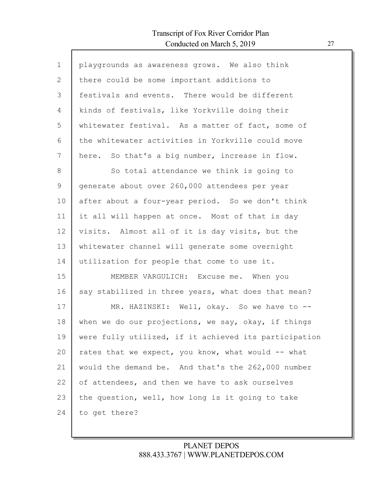Г

| $\mathbf 1$ | playgrounds as awareness grows. We also think         |
|-------------|-------------------------------------------------------|
| 2           | there could be some important additions to            |
| 3           | festivals and events. There would be different        |
| 4           | kinds of festivals, like Yorkville doing their        |
| 5           | whitewater festival. As a matter of fact, some of     |
| 6           | the whitewater activities in Yorkville could move     |
| 7           | here. So that's a big number, increase in flow.       |
| 8           | So total attendance we think is going to              |
| 9           | generate about over 260,000 attendees per year        |
| 10          | after about a four-year period. So we don't think     |
| 11          | it all will happen at once. Most of that is day       |
| 12          | visits. Almost all of it is day visits, but the       |
| 13          | whitewater channel will generate some overnight       |
| 14          | utilization for people that come to use it.           |
| 15          | MEMBER VARGULICH: Excuse me. When you                 |
| 16          | say stabilized in three years, what does that mean?   |
| 17          | MR. HAZINSKI: Well, okay. So we have to --            |
| 18          | when we do our projections, we say, okay, if things   |
| 19          | were fully utilized, if it achieved its participation |
| 20          | rates that we expect, you know, what would -- what    |
| 21          | would the demand be. And that's the 262,000 number    |
| 22          | of attendees, and then we have to ask ourselves       |
| 23          | the question, well, how long is it going to take      |
| 24          | to get there?                                         |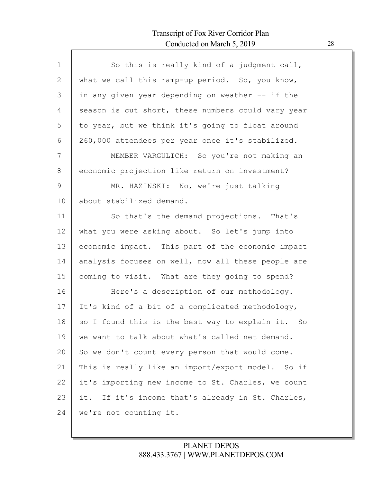| $\mathbf{1}$  | So this is really kind of a judgment call,         |
|---------------|----------------------------------------------------|
| 2             | what we call this ramp-up period. So, you know,    |
| 3             | in any given year depending on weather -- if the   |
| 4             | season is cut short, these numbers could vary year |
| 5             | to year, but we think it's going to float around   |
| 6             | 260,000 attendees per year once it's stabilized.   |
| 7             | MEMBER VARGULICH: So you're not making an          |
| 8             | economic projection like return on investment?     |
| $\mathcal{G}$ | MR. HAZINSKI: No, we're just talking               |
| 10            | about stabilized demand.                           |
| 11            | So that's the demand projections. That's           |
| 12            | what you were asking about. So let's jump into     |
| 13            | economic impact. This part of the economic impact  |
| 14            | analysis focuses on well, now all these people are |
| 15            | coming to visit. What are they going to spend?     |
| 16            | Here's a description of our methodology.           |
| 17            | It's kind of a bit of a complicated methodology,   |
| 18            | so I found this is the best way to explain it. So  |
| 19            | we want to talk about what's called net demand.    |
| 20            | So we don't count every person that would come.    |
| 21            | This is really like an import/export model. So if  |
| 22            | it's importing new income to St. Charles, we count |
| 23            | it. If it's income that's already in St. Charles,  |
| 24            | we're not counting it.                             |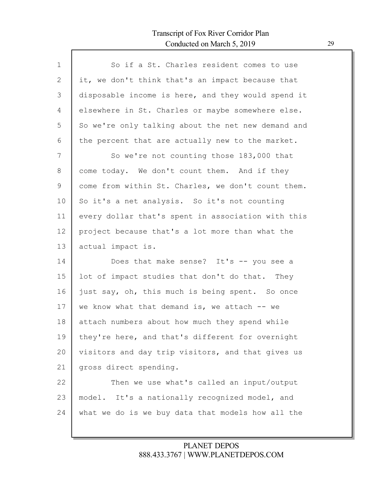Г

| $\mathbf{1}$ | So if a St. Charles resident comes to use          |
|--------------|----------------------------------------------------|
| 2            | it, we don't think that's an impact because that   |
| 3            | disposable income is here, and they would spend it |
| 4            | elsewhere in St. Charles or maybe somewhere else.  |
| 5            | So we're only talking about the net new demand and |
| 6            | the percent that are actually new to the market.   |
| 7            | So we're not counting those 183,000 that           |
| 8            | come today. We don't count them. And if they       |
| 9            | come from within St. Charles, we don't count them. |
| 10           | So it's a net analysis. So it's not counting       |
| 11           | every dollar that's spent in association with this |
| 12           | project because that's a lot more than what the    |
| 13           | actual impact is.                                  |
| 14           | Does that make sense? It's -- you see a            |
| 15           | lot of impact studies that don't do that. They     |
| 16           | just say, oh, this much is being spent. So once    |
| 17           | we know what that demand is, we attach $--$ we     |
| 18           | attach numbers about how much they spend while     |
| 19           | they're here, and that's different for overnight   |
| 20           | visitors and day trip visitors, and that gives us  |
| 21           | gross direct spending.                             |
| 22           | Then we use what's called an input/output          |
| 23           | model. It's a nationally recognized model, and     |
| 24           | what we do is we buy data that models how all the  |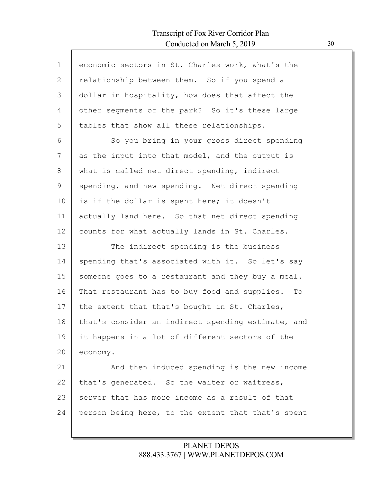Г

| $\mathbf 1$  | economic sectors in St. Charles work, what's the   |
|--------------|----------------------------------------------------|
| $\mathbf{2}$ | relationship between them. So if you spend a       |
| 3            | dollar in hospitality, how does that affect the    |
| 4            | other segments of the park? So it's these large    |
| 5            | tables that show all these relationships.          |
| 6            | So you bring in your gross direct spending         |
| 7            | as the input into that model, and the output is    |
| 8            | what is called net direct spending, indirect       |
| 9            | spending, and new spending. Net direct spending    |
| 10           | is if the dollar is spent here; it doesn't         |
| 11           | actually land here. So that net direct spending    |
| 12           | counts for what actually lands in St. Charles.     |
| 13           | The indirect spending is the business              |
| 14           | spending that's associated with it. So let's say   |
| 15           | someone goes to a restaurant and they buy a meal.  |
|              |                                                    |
| 16           | That restaurant has to buy food and supplies. To   |
| 17           | the extent that that's bought in St. Charles,      |
| 18           | that's consider an indirect spending estimate, and |
| 19           | it happens in a lot of different sectors of the    |
| 20           | economy.                                           |
| 21           | And then induced spending is the new income        |
| 22           | that's generated. So the waiter or waitress,       |
| 23           | server that has more income as a result of that    |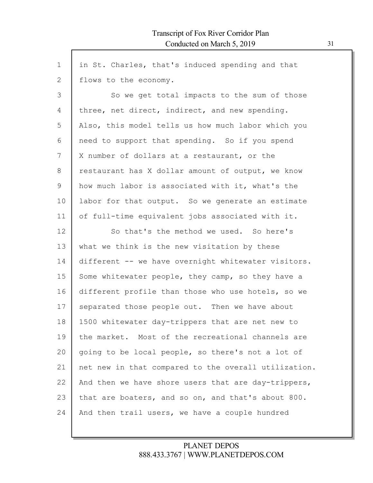| $\mathbf{1}$ | in St. Charles, that's induced spending and that     |
|--------------|------------------------------------------------------|
| 2            | flows to the economy.                                |
| 3            | So we get total impacts to the sum of those          |
| 4            | three, net direct, indirect, and new spending.       |
| 5            | Also, this model tells us how much labor which you   |
| 6            | need to support that spending. So if you spend       |
| 7            | X number of dollars at a restaurant, or the          |
| 8            | restaurant has X dollar amount of output, we know    |
| 9            | how much labor is associated with it, what's the     |
| 10           | labor for that output. So we generate an estimate    |
| 11           | of full-time equivalent jobs associated with it.     |
| 12           | So that's the method we used. So here's              |
| 13           | what we think is the new visitation by these         |
| 14           | different -- we have overnight whitewater visitors.  |
| 15           | Some whitewater people, they camp, so they have a    |
| 16           | different profile than those who use hotels, so we   |
| 17           | separated those people out. Then we have about       |
| 18           | 1500 whitewater day-trippers that are net new to     |
| 19           | the market. Most of the recreational channels are    |
| 20           | going to be local people, so there's not a lot of    |
| 21           | net new in that compared to the overall utilization. |
| 22           | And then we have shore users that are day-trippers,  |
| 23           | that are boaters, and so on, and that's about 800.   |
| 24           | And then trail users, we have a couple hundred       |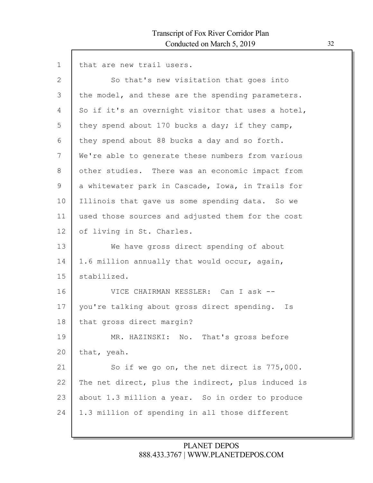1 that are new trail users.

| $\overline{2}$ | So that's new visitation that goes into            |
|----------------|----------------------------------------------------|
| 3              | the model, and these are the spending parameters.  |
| 4              | So if it's an overnight visitor that uses a hotel, |
| 5              | they spend about 170 bucks a day; if they camp,    |
| 6              | they spend about 88 bucks a day and so forth.      |
| 7              | We're able to generate these numbers from various  |
| 8              | other studies. There was an economic impact from   |
| 9              | a whitewater park in Cascade, Iowa, in Trails for  |
| 10             | Illinois that gave us some spending data. So we    |
| 11             | used those sources and adjusted them for the cost  |
| 12             | of living in St. Charles.                          |
| 13             | We have gross direct spending of about             |
| 14             | 1.6 million annually that would occur, again,      |
| 15             | stabilized.                                        |
| 16             | VICE CHAIRMAN KESSLER: Can I ask --                |
| 17             | you're talking about gross direct spending. Is     |
| 18             | that gross direct margin?                          |
| 19             | MR. HAZINSKI: No. That's gross before              |
| 20             | that, yeah.                                        |
| 21             | So if we go on, the net direct is 775,000.         |
| 22             | The net direct, plus the indirect, plus induced is |
| 23             | about 1.3 million a year. So in order to produce   |
| 24             | 1.3 million of spending in all those different     |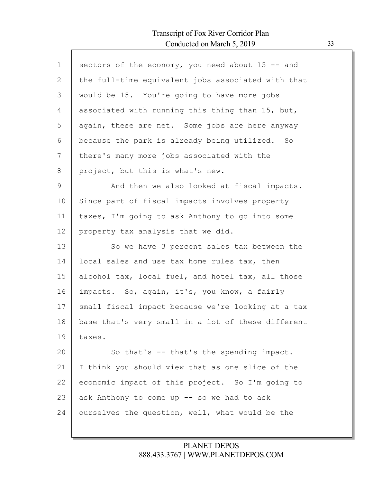| $\mathbf{1}$ | sectors of the economy, you need about 15 -- and   |
|--------------|----------------------------------------------------|
| 2            | the full-time equivalent jobs associated with that |
| 3            | would be 15. You're going to have more jobs        |
| 4            | associated with running this thing than 15, but,   |
| 5            | again, these are net. Some jobs are here anyway    |
| 6            | because the park is already being utilized. So     |
| 7            | there's many more jobs associated with the         |
| 8            | project, but this is what's new.                   |
| 9            | And then we also looked at fiscal impacts.         |
| 10           | Since part of fiscal impacts involves property     |
| 11           | taxes, I'm going to ask Anthony to go into some    |
| 12           | property tax analysis that we did.                 |
| 13           | So we have 3 percent sales tax between the         |
| 14           | local sales and use tax home rules tax, then       |
| 15           | alcohol tax, local fuel, and hotel tax, all those  |
| 16           | impacts. So, again, it's, you know, a fairly       |
| 17           | small fiscal impact because we're looking at a tax |
| 18           | base that's very small in a lot of these different |
| 19           | taxes.                                             |
| 20           | So that's -- that's the spending impact.           |
| 21           | I think you should view that as one slice of the   |
| 22           | economic impact of this project. So I'm going to   |
| 23           | ask Anthony to come up -- so we had to ask         |
| 24           |                                                    |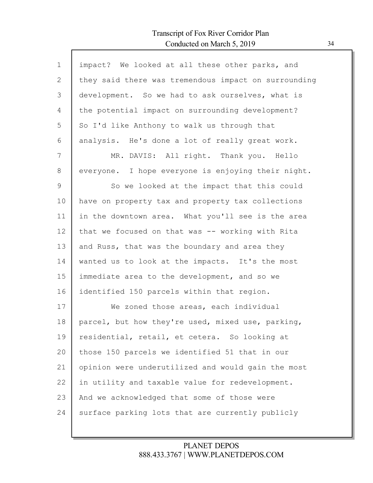Г

| $\mathbf{1}$ | impact? We looked at all these other parks, and      |
|--------------|------------------------------------------------------|
| 2            | they said there was tremendous impact on surrounding |
| 3            | development. So we had to ask ourselves, what is     |
| 4            | the potential impact on surrounding development?     |
| 5            | So I'd like Anthony to walk us through that          |
| 6            | analysis. He's done a lot of really great work.      |
| 7            | MR. DAVIS: All right. Thank you. Hello               |
| 8            | everyone. I hope everyone is enjoying their night.   |
| 9            | So we looked at the impact that this could           |
| 10           | have on property tax and property tax collections    |
| 11           | in the downtown area. What you'll see is the area    |
| 12           | that we focused on that was -- working with Rita     |
| 13           | and Russ, that was the boundary and area they        |
| 14           | wanted us to look at the impacts. It's the most      |
| 15           | immediate area to the development, and so we         |
| 16           | identified 150 parcels within that region.           |
| 17           | We zoned those areas, each individual                |
| 18           | parcel, but how they're used, mixed use, parking,    |
| 19           | residential, retail, et cetera. So looking at        |
| 20           | those 150 parcels we identified 51 that in our       |
| 21           | opinion were underutilized and would gain the most   |
| 22           | in utility and taxable value for redevelopment.      |
| 23           | And we acknowledged that some of those were          |
| 24           | surface parking lots that are currently publicly     |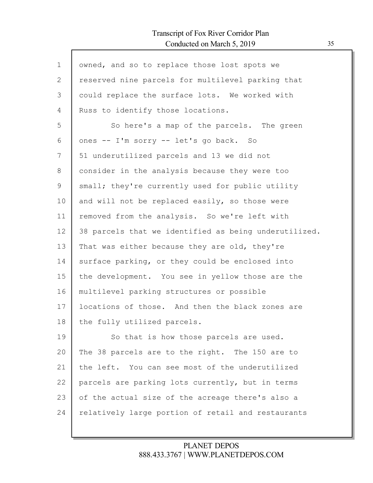| $\mathbf 1$ | owned, and so to replace those lost spots we          |
|-------------|-------------------------------------------------------|
| 2           | reserved nine parcels for multilevel parking that     |
| 3           | could replace the surface lots. We worked with        |
| 4           | Russ to identify those locations.                     |
| 5           | So here's a map of the parcels. The green             |
| 6           | ones -- I'm sorry -- let's go back. So                |
| 7           | 51 underutilized parcels and 13 we did not            |
| 8           | consider in the analysis because they were too        |
| 9           | small; they're currently used for public utility      |
| 10          | and will not be replaced easily, so those were        |
| 11          | removed from the analysis. So we're left with         |
| 12          | 38 parcels that we identified as being underutilized. |
| 13          | That was either because they are old, they're         |
| 14          | surface parking, or they could be enclosed into       |
| 15          | the development. You see in yellow those are the      |
| 16          | multilevel parking structures or possible             |
| 17          | locations of those. And then the black zones are      |
| 18          | the fully utilized parcels.                           |
| 19          | So that is how those parcels are used.                |
| 20          | The 38 parcels are to the right. The 150 are to       |
| 21          | the left. You can see most of the underutilized       |
| 22          | parcels are parking lots currently, but in terms      |
| 23          | of the actual size of the acreage there's also a      |
| 24          | relatively large portion of retail and restaurants    |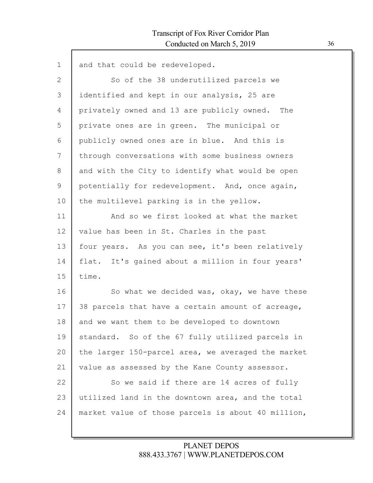$\Gamma$ 

| $\mathbf 1$  | and that could be redeveloped.                     |
|--------------|----------------------------------------------------|
| $\mathbf{2}$ | So of the 38 underutilized parcels we              |
| 3            | identified and kept in our analysis, 25 are        |
| 4            | privately owned and 13 are publicly owned. The     |
| 5            | private ones are in green. The municipal or        |
| 6            | publicly owned ones are in blue. And this is       |
| 7            | through conversations with some business owners    |
| 8            | and with the City to identify what would be open   |
| 9            | potentially for redevelopment. And, once again,    |
| 10           | the multilevel parking is in the yellow.           |
| 11           | And so we first looked at what the market          |
| 12           | value has been in St. Charles in the past          |
| 13           | four years. As you can see, it's been relatively   |
| 14           | flat. It's gained about a million in four years'   |
| 15           | time.                                              |
| 16           | So what we decided was, okay, we have these        |
| 17           | 38 parcels that have a certain amount of acreage,  |
| 18           | and we want them to be developed to downtown       |
| 19           | standard. So of the 67 fully utilized parcels in   |
| 20           | the larger 150-parcel area, we averaged the market |
| 21           | value as assessed by the Kane County assessor.     |
| 22           | So we said if there are 14 acres of fully          |
| 23           | utilized land in the downtown area, and the total  |
| 24           | market value of those parcels is about 40 million, |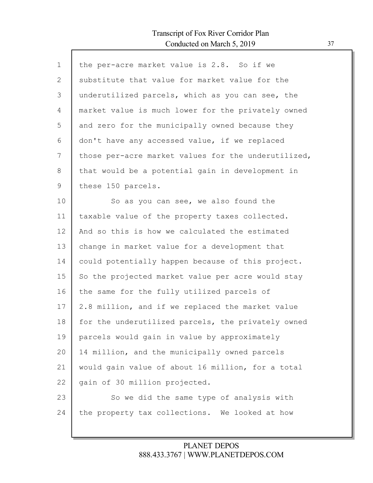Г

| $\mathbf{1}$ | the per-acre market value is 2.8. So if we          |
|--------------|-----------------------------------------------------|
| 2            | substitute that value for market value for the      |
| 3            | underutilized parcels, which as you can see, the    |
| 4            | market value is much lower for the privately owned  |
| 5            | and zero for the municipally owned because they     |
| 6            | don't have any accessed value, if we replaced       |
| 7            | those per-acre market values for the underutilized, |
| 8            | that would be a potential gain in development in    |
| 9            | these 150 parcels.                                  |
| 10           | So as you can see, we also found the                |
| 11           | taxable value of the property taxes collected.      |
| 12           | And so this is how we calculated the estimated      |
| 13           | change in market value for a development that       |
| 14           | could potentially happen because of this project.   |
| 15           | So the projected market value per acre would stay   |
| 16           | the same for the fully utilized parcels of          |
| 17           | 2.8 million, and if we replaced the market value    |
| 18           | for the underutilized parcels, the privately owned  |
| 19           | parcels would gain in value by approximately        |
| 20           | 14 million, and the municipally owned parcels       |
| 21           | would gain value of about 16 million, for a total   |
| 22           | gain of 30 million projected.                       |
| 23           | So we did the same type of analysis with            |
| 24           | the property tax collections. We looked at how      |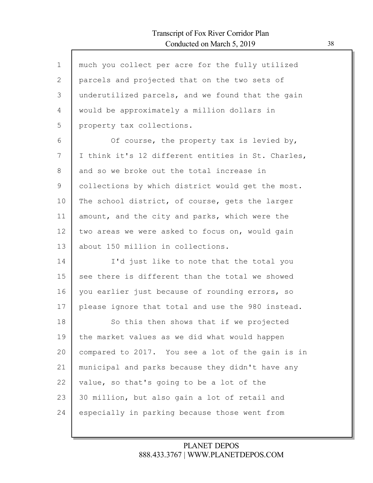$\mathsf{l}$ 

| $\mathbf 1$ | much you collect per acre for the fully utilized   |
|-------------|----------------------------------------------------|
| 2           | parcels and projected that on the two sets of      |
| 3           | underutilized parcels, and we found that the gain  |
| 4           | would be approximately a million dollars in        |
| 5           | property tax collections.                          |
| 6           | Of course, the property tax is levied by,          |
| 7           | I think it's 12 different entities in St. Charles, |
| 8           | and so we broke out the total increase in          |
| 9           | collections by which district would get the most.  |
| 10          | The school district, of course, gets the larger    |
| 11          | amount, and the city and parks, which were the     |
| 12          | two areas we were asked to focus on, would gain    |
| 13          | about 150 million in collections.                  |
| 14          | I'd just like to note that the total you           |
| 15          | see there is different than the total we showed    |
| 16          | you earlier just because of rounding errors, so    |
| 17          | please ignore that total and use the 980 instead.  |
| 18          | So this then shows that if we projected            |
| 19          | the market values as we did what would happen      |
| 20          | compared to 2017. You see a lot of the gain is in  |
| 21          | municipal and parks because they didn't have any   |
| 22          | value, so that's going to be a lot of the          |
| 23          | 30 million, but also gain a lot of retail and      |
| 24          | especially in parking because those went from      |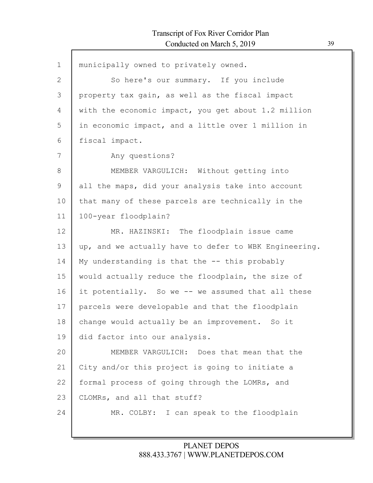| $\mathbf 1$  | municipally owned to privately owned.                 |
|--------------|-------------------------------------------------------|
| $\mathbf{2}$ | So here's our summary. If you include                 |
| 3            | property tax gain, as well as the fiscal impact       |
| 4            | with the economic impact, you get about 1.2 million   |
| 5            | in economic impact, and a little over 1 million in    |
| 6            | fiscal impact.                                        |
| 7            | Any questions?                                        |
| 8            | MEMBER VARGULICH: Without getting into                |
| 9            | all the maps, did your analysis take into account     |
| 10           | that many of these parcels are technically in the     |
| 11           | 100-year floodplain?                                  |
| 12           | MR. HAZINSKI: The floodplain issue came               |
| 13           | up, and we actually have to defer to WBK Engineering. |
| 14           | My understanding is that the -- this probably         |
| 15           | would actually reduce the floodplain, the size of     |
| 16           | it potentially. So we -- we assumed that all these    |
| 17           | parcels were developable and that the floodplain      |
| 18           | change would actually be an improvement. So it        |
| 19           | did factor into our analysis.                         |
| 20           | MEMBER VARGULICH: Does that mean that the             |
| 21           | City and/or this project is going to initiate a       |
| 22           | formal process of going through the LOMRs, and        |
| 23           | CLOMRs, and all that stuff?                           |
| 24           | MR. COLBY: I can speak to the floodplain              |
|              |                                                       |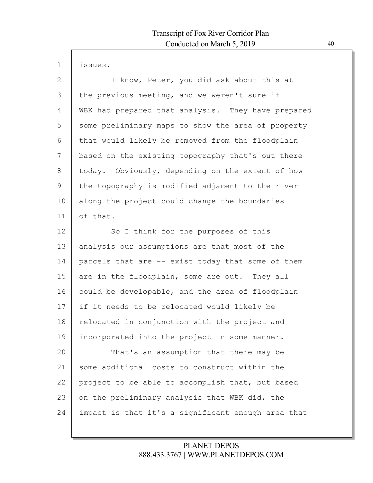1 issues.

| $\mathbf{2}$   | I know, Peter, you did ask about this at           |
|----------------|----------------------------------------------------|
| 3              | the previous meeting, and we weren't sure if       |
| 4              | WBK had prepared that analysis. They have prepared |
| 5              | some preliminary maps to show the area of property |
| 6              | that would likely be removed from the floodplain   |
| 7              | based on the existing topography that's out there  |
| 8              | today. Obviously, depending on the extent of how   |
| $\overline{9}$ | the topography is modified adjacent to the river   |
| 10             | along the project could change the boundaries      |
| 11             | of that.                                           |
| 12             | So I think for the purposes of this                |
| 13             | analysis our assumptions are that most of the      |
| 14             | parcels that are -- exist today that some of them  |
| 15             | are in the floodplain, some are out. They all      |
| 16             | could be developable, and the area of floodplain   |
| 17             | if it needs to be relocated would likely be        |
| 18             | relocated in conjunction with the project and      |
| 19             | incorporated into the project in some manner.      |
| 20             | That's an assumption that there may be             |
| 21             | some additional costs to construct within the      |
| 22             | project to be able to accomplish that, but based   |
| 23             | on the preliminary analysis that WBK did, the      |
| 24             | impact is that it's a significant enough area that |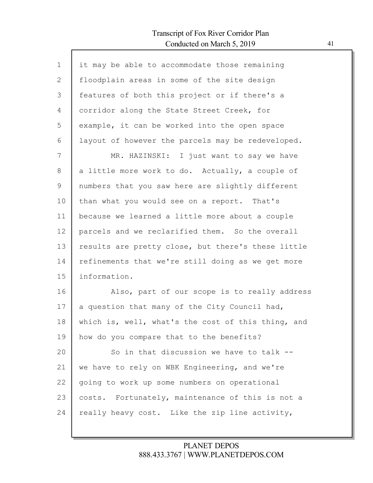$\mathsf{l}$ 

| $\mathbf 1$ | it may be able to accommodate those remaining      |
|-------------|----------------------------------------------------|
| 2           | floodplain areas in some of the site design        |
| 3           | features of both this project or if there's a      |
| 4           | corridor along the State Street Creek, for         |
| 5           | example, it can be worked into the open space      |
| 6           | layout of however the parcels may be redeveloped.  |
| 7           | MR. HAZINSKI: I just want to say we have           |
| 8           | a little more work to do. Actually, a couple of    |
| 9           | numbers that you saw here are slightly different   |
| 10          | than what you would see on a report. That's        |
| 11          | because we learned a little more about a couple    |
| 12          | parcels and we reclarified them. So the overall    |
| 13          | results are pretty close, but there's these little |
| 14          | refinements that we're still doing as we get more  |
| 15          | information.                                       |
| 16          | Also, part of our scope is to really address       |
| 17          | a question that many of the City Council had,      |
| 18          | which is, well, what's the cost of this thing, and |
| 19          | how do you compare that to the benefits?           |
| 20          | So in that discussion we have to talk --           |
| 21          | we have to rely on WBK Engineering, and we're      |
| 22          | going to work up some numbers on operational       |
| 23          | costs. Fortunately, maintenance of this is not a   |
| 24          | really heavy cost. Like the zip line activity,     |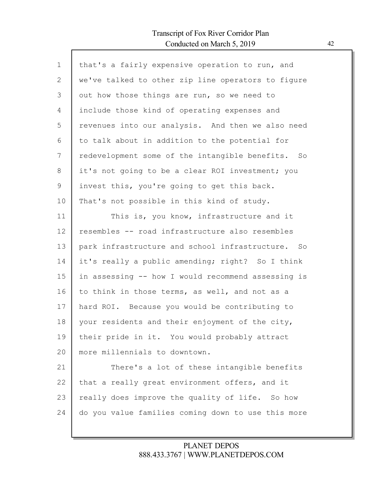Г

| that's a fairly expensive operation to run, and    |
|----------------------------------------------------|
| we've talked to other zip line operators to figure |
| out how those things are run, so we need to        |
| include those kind of operating expenses and       |
| revenues into our analysis. And then we also need  |
| to talk about in addition to the potential for     |
| redevelopment some of the intangible benefits. So  |
| it's not going to be a clear ROI investment; you   |
| invest this, you're going to get this back.        |
| That's not possible in this kind of study.         |
| This is, you know, infrastructure and it           |
| resembles -- road infrastructure also resembles    |
| park infrastructure and school infrastructure. So  |
| it's really a public amending; right? So I think   |
| in assessing -- how I would recommend assessing is |
| to think in those terms, as well, and not as a     |
| hard ROI. Because you would be contributing to     |
| your residents and their enjoyment of the city,    |
| their pride in it. You would probably attract      |
| more millennials to downtown.                      |
| There's a lot of these intangible benefits         |
| that a really great environment offers, and it     |
| really does improve the quality of life. So how    |
| do you value families coming down to use this more |
|                                                    |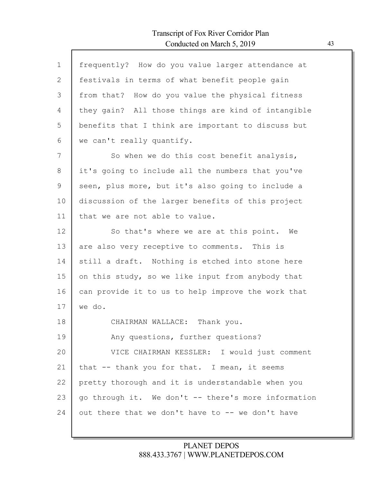| $\mathbf 1$  | frequently? How do you value larger attendance at   |
|--------------|-----------------------------------------------------|
| $\mathbf{2}$ | festivals in terms of what benefit people gain      |
| 3            | from that? How do you value the physical fitness    |
| 4            | they gain? All those things are kind of intangible  |
| 5            | benefits that I think are important to discuss but  |
| 6            | we can't really quantify.                           |
| 7            | So when we do this cost benefit analysis,           |
| 8            | it's going to include all the numbers that you've   |
| 9            | seen, plus more, but it's also going to include a   |
| 10           | discussion of the larger benefits of this project   |
| 11           | that we are not able to value.                      |
| 12           | So that's where we are at this point. We            |
| 13           | are also very receptive to comments. This is        |
| 14           | still a draft. Nothing is etched into stone here    |
| 15           | on this study, so we like input from anybody that   |
| 16           | can provide it to us to help improve the work that  |
| 17           | we do.                                              |
| 18           | CHAIRMAN WALLACE: Thank you.                        |
| 19           | Any questions, further questions?                   |
| 20           | VICE CHAIRMAN KESSLER: I would just comment         |
| 21           | that -- thank you for that. I mean, it seems        |
| 22           | pretty thorough and it is understandable when you   |
| 23           | go through it. We don't -- there's more information |
| 24           | out there that we don't have to -- we don't have    |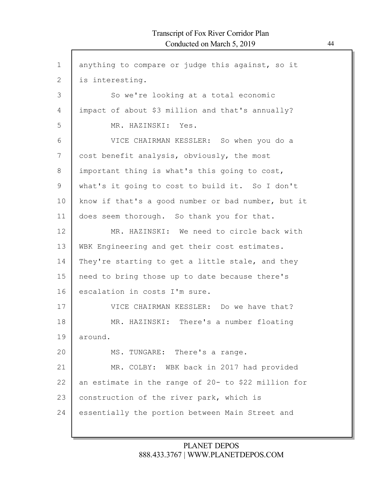| $\mathbf 1$  | anything to compare or judge this against, so it    |
|--------------|-----------------------------------------------------|
| $\mathbf{2}$ | is interesting.                                     |
| 3            | So we're looking at a total economic                |
| 4            | impact of about \$3 million and that's annually?    |
| 5            | MR. HAZINSKI: Yes.                                  |
| 6            | VICE CHAIRMAN KESSLER: So when you do a             |
| 7            | cost benefit analysis, obviously, the most          |
| 8            | important thing is what's this going to cost,       |
| 9            | what's it going to cost to build it. So I don't     |
| 10           | know if that's a good number or bad number, but it  |
| 11           | does seem thorough. So thank you for that.          |
| 12           | MR. HAZINSKI: We need to circle back with           |
| 13           | WBK Engineering and get their cost estimates.       |
| 14           | They're starting to get a little stale, and they    |
| 15           | need to bring those up to date because there's      |
| 16           | escalation in costs I'm sure.                       |
| 17           | VICE CHAIRMAN KESSLER: Do we have that?             |
| 18           | MR. HAZINSKI: There's a number floating             |
| 19           | around.                                             |
| 20           | MS. TUNGARE: There's a range.                       |
| 21           | MR. COLBY: WBK back in 2017 had provided            |
| 22           | an estimate in the range of 20- to \$22 million for |
| 23           | construction of the river park, which is            |
| 24           | essentially the portion between Main Street and     |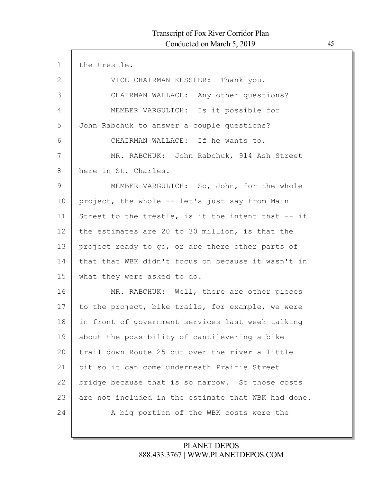| $\mathbf 1$  | the trestle.                                        |
|--------------|-----------------------------------------------------|
| $\mathbf{2}$ | VICE CHAIRMAN KESSLER: Thank you.                   |
| 3            | CHAIRMAN WALLACE: Any other questions?              |
| 4            | MEMBER VARGULICH: Is it possible for                |
| 5            | John Rabchuk to answer a couple questions?          |
| 6            | CHAIRMAN WALLACE: If he wants to.                   |
| 7            | MR. RABCHUK: John Rabchuk, 914 Ash Street           |
| 8            | here in St. Charles.                                |
| 9            | MEMBER VARGULICH: So, John, for the whole           |
| 10           | project, the whole -- let's just say from Main      |
| 11           | Street to the trestle, is it the intent that -- if  |
| 12           | the estimates are 20 to 30 million, is that the     |
| 13           | project ready to go, or are there other parts of    |
| 14           | that that WBK didn't focus on because it wasn't in  |
| 15           | what they were asked to do.                         |
| 16           | MR. RABCHUK: Well, there are other pieces           |
| 17           | to the project, bike trails, for example, we were   |
| 18           | in front of government services last week talking   |
| 19           | about the possibility of cantilevering a bike       |
| 20           | trail down Route 25 out over the river a little     |
| 21           | bit so it can come underneath Prairie Street        |
| 22           | bridge because that is so narrow. So those costs    |
| 23           | are not included in the estimate that WBK had done. |
| 24           | A big portion of the WBK costs were the             |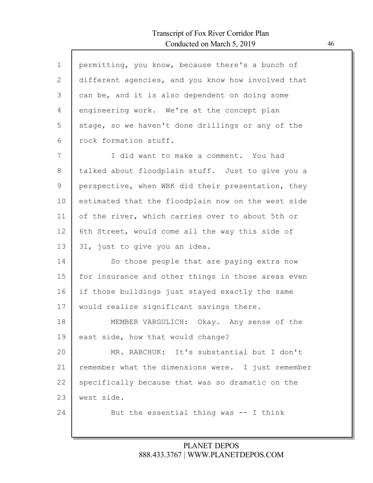I

| $\mathbf 1$  | permitting, you know, because there's a bunch of   |
|--------------|----------------------------------------------------|
| $\mathbf{2}$ | different agencies, and you know how involved that |
| 3            | can be, and it is also dependent on doing some     |
| 4            | engineering work. We're at the concept plan        |
| 5            | stage, so we haven't done drillings or any of the  |
| 6            | rock formation stuff.                              |
| 7            | I did want to make a comment. You had              |
| 8            | talked about floodplain stuff. Just to give you a  |
| 9            | perspective, when WBK did their presentation, they |
| 10           | estimated that the floodplain now on the west side |
| 11           | of the river, which carries over to about 5th or   |
| 12           | 6th Street, would come all the way this side of    |
| 13           | 31, just to give you an idea.                      |
| 14           | So those people that are paying extra now          |
| 15           | for insurance and other things in those areas even |
| 16           | if those buildings just stayed exactly the same    |
| 17           | would realize significant savings there.           |
| 18           | MEMBER VARGULICH: Okay. Any sense of the           |
| 19           | east side, how that would change?                  |
| 20           | MR. RABCHUK: It's substantial but I don't          |
| 21           | remember what the dimensions were. I just remember |
| 22           | specifically because that was so dramatic on the   |
| 23           | west side.                                         |
| 24           | But the essential thing was -- I think             |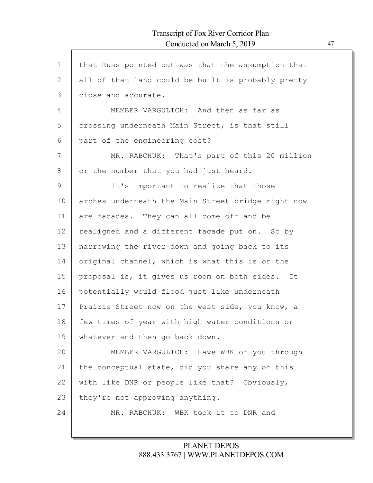| $\mathbf 1$    | that Russ pointed out was that the assumption that |
|----------------|----------------------------------------------------|
| $\overline{2}$ | all of that land could be built is probably pretty |
| 3              | close and accurate.                                |
| 4              | MEMBER VARGULICH: And then as far as               |
| 5              | crossing underneath Main Street, is that still     |
| 6              | part of the engineering cost?                      |
| 7              | MR. RABCHUK: That's part of this 20 million        |
| 8              | or the number that you had just heard.             |
| 9              | It's important to realize that those               |
| 10             | arches underneath the Main Street bridge right now |
| 11             | are facades. They can all come off and be          |
| 12             | realigned and a different facade put on. So by     |
| 13             | narrowing the river down and going back to its     |
| 14             | original channel, which is what this is or the     |
| 15             | proposal is, it gives us room on both sides. It    |
| 16             | potentially would flood just like underneath       |
| 17             | Prairie Street now on the west side, you know, a   |
| 18             | few times of year with high water conditions or    |
| 19             | whatever and then go back down.                    |
| 20             | MEMBER VARGULICH: Have WBK or you through          |
| 21             | the conceptual state, did you share any of this    |
| 22             | with like DNR or people like that? Obviously,      |
| 23             | they're not approving anything.                    |
| 24             | MR. RABCHUK: WBK took it to DNR and                |
|                |                                                    |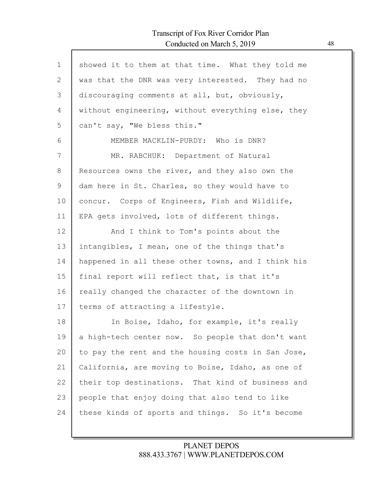$\mathsf{l}$ 

| $\mathbf 1$ | showed it to them at that time. What they told me  |
|-------------|----------------------------------------------------|
| 2           | was that the DNR was very interested. They had no  |
| 3           | discouraging comments at all, but, obviously,      |
| 4           | without engineering, without everything else, they |
| 5           | can't say, "We bless this."                        |
| 6           | MEMBER MACKLIN-PURDY: Who is DNR?                  |
| 7           | MR. RABCHUK: Department of Natural                 |
| 8           | Resources owns the river, and they also own the    |
| 9           | dam here in St. Charles, so they would have to     |
| 10          | concur. Corps of Engineers, Fish and Wildlife,     |
| 11          | EPA gets involved, lots of different things.       |
| 12          | And I think to Tom's points about the              |
| 13          | intangibles, I mean, one of the things that's      |
| 14          | happened in all these other towns, and I think his |
| 15          | final report will reflect that, is that it's       |
| 16          | really changed the character of the downtown in    |
| 17          | terms of attracting a lifestyle.                   |
| 18          | In Boise, Idaho, for example, it's really          |
| 19          | a high-tech center now. So people that don't want  |
| 20          | to pay the rent and the housing costs in San Jose, |
| 21          | California, are moving to Boise, Idaho, as one of  |
| 22          | their top destinations. That kind of business and  |
| 23          | people that enjoy doing that also tend to like     |
| 24          | these kinds of sports and things. So it's become   |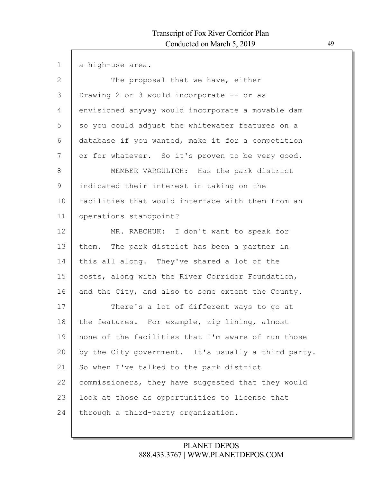| $\mathbf{1}$ | a high-use area.                                    |
|--------------|-----------------------------------------------------|
| $\mathbf{2}$ | The proposal that we have, either                   |
| 3            | Drawing 2 or 3 would incorporate -- or as           |
| 4            | envisioned anyway would incorporate a movable dam   |
| 5            | so you could adjust the whitewater features on a    |
| 6            | database if you wanted, make it for a competition   |
| 7            | or for whatever. So it's proven to be very good.    |
| 8            | MEMBER VARGULICH: Has the park district             |
| $\mathsf 9$  | indicated their interest in taking on the           |
| 10           | facilities that would interface with them from an   |
| 11           | operations standpoint?                              |
| 12           | MR. RABCHUK: I don't want to speak for              |
| 13           | them. The park district has been a partner in       |
| 14           | this all along. They've shared a lot of the         |
| 15           | costs, along with the River Corridor Foundation,    |
| 16           | and the City, and also to some extent the County.   |
| 17           | There's a lot of different ways to go at            |
| 18           | the features. For example, zip lining, almost       |
| 19           | none of the facilities that I'm aware of run those  |
| 20           | by the City government. It's usually a third party. |
| 21           | So when I've talked to the park district            |
| 22           | commissioners, they have suggested that they would  |
| 23           | look at those as opportunities to license that      |
| 24           | through a third-party organization.                 |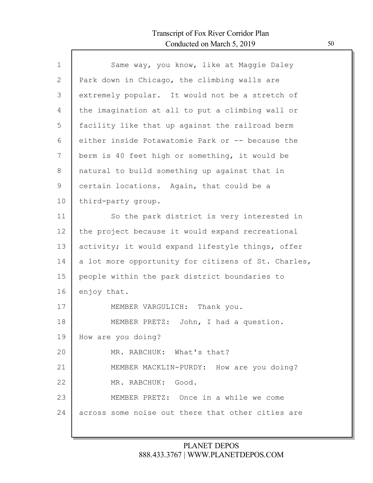Г

| Park down in Chicago, the climbing walls are<br>extremely popular. It would not be a stretch of<br>the imagination at all to put a climbing wall or |
|-----------------------------------------------------------------------------------------------------------------------------------------------------|
|                                                                                                                                                     |
|                                                                                                                                                     |
|                                                                                                                                                     |
| facility like that up against the railroad berm                                                                                                     |
| either inside Potawatomie Park or -- because the                                                                                                    |
| berm is 40 feet high or something, it would be                                                                                                      |
| natural to build something up against that in                                                                                                       |
| certain locations. Again, that could be a                                                                                                           |
| third-party group.                                                                                                                                  |
| So the park district is very interested in                                                                                                          |
| the project because it would expand recreational                                                                                                    |
| activity; it would expand lifestyle things, offer                                                                                                   |
| a lot more opportunity for citizens of St. Charles,                                                                                                 |
| people within the park district boundaries to                                                                                                       |
| enjoy that.                                                                                                                                         |
| MEMBER VARGULICH: Thank you.                                                                                                                        |
| MEMBER PRETZ: John, I had a question.                                                                                                               |
| How are you doing?                                                                                                                                  |
| MR. RABCHUK: What's that?                                                                                                                           |
| MEMBER MACKLIN-PURDY: How are you doing?                                                                                                            |
| MR. RABCHUK: Good.                                                                                                                                  |
| MEMBER PRETZ: Once in a while we come                                                                                                               |
| across some noise out there that other cities are                                                                                                   |
|                                                                                                                                                     |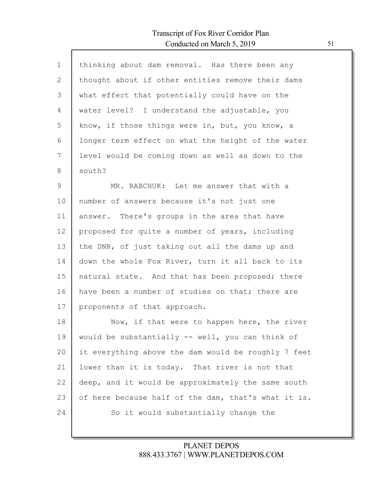Г

| $\mathbf 1$  | thinking about dam removal. Has there been any      |
|--------------|-----------------------------------------------------|
| $\mathbf{2}$ | thought about if other entities remove their dams   |
| 3            | what effect that potentially could have on the      |
| 4            | water level? I understand the adjustable, you       |
| 5            | know, if those things were in, but, you know, a     |
| 6            | longer term effect on what the height of the water  |
| 7            | level would be coming down as well as down to the   |
| 8            | south?                                              |
| 9            | MR. RABCHUK: Let me answer that with a              |
| 10           | number of answers because it's not just one         |
| 11           | answer. There's groups in the area that have        |
| 12           | proposed for quite a number of years, including     |
| 13           | the DNR, of just taking out all the dams up and     |
| 14           | down the whole Fox River, turn it all back to its   |
| 15           | natural state. And that has been proposed; there    |
| 16           | have been a number of studies on that; there are    |
| 17           | proponents of that approach.                        |
| 18           | Now, if that were to happen here, the river         |
| 19           | would be substantially -- well, you can think of    |
| 20           | it everything above the dam would be roughly 7 feet |
| 21           | lower than it is today. That river is not that      |
| 22           | deep, and it would be approximately the same south  |
| 23           | of here because half of the dam, that's what it is. |
| 24           | So it would substantially change the                |
|              |                                                     |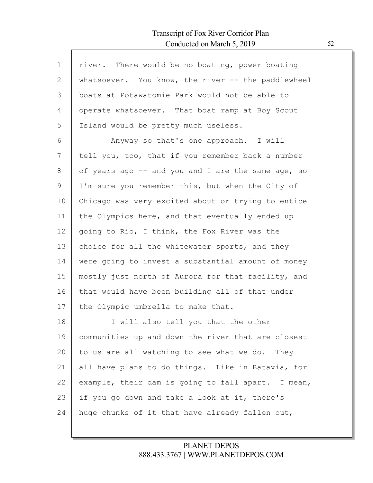Г

| $\mathbf{1}$ | river. There would be no boating, power boating    |
|--------------|----------------------------------------------------|
| 2            | whatsoever. You know, the river -- the paddlewheel |
| 3            | boats at Potawatomie Park would not be able to     |
| 4            | operate whatsoever. That boat ramp at Boy Scout    |
| 5            | Island would be pretty much useless.               |
| 6            | Anyway so that's one approach. I will              |
| 7            | tell you, too, that if you remember back a number  |
| 8            | of years ago -- and you and I are the same age, so |
| 9            | I'm sure you remember this, but when the City of   |
| 10           | Chicago was very excited about or trying to entice |
| 11           | the Olympics here, and that eventually ended up    |
| 12           | going to Rio, I think, the Fox River was the       |
| 13           | choice for all the whitewater sports, and they     |
| 14           | were going to invest a substantial amount of money |
| 15           | mostly just north of Aurora for that facility, and |
| 16           | that would have been building all of that under    |
| 17           | the Olympic umbrella to make that.                 |
| 18           | I will also tell you that the other                |
| 19           | communities up and down the river that are closest |
| 20           | to us are all watching to see what we do. They     |
| 21           | all have plans to do things. Like in Batavia, for  |
| 22           | example, their dam is going to fall apart. I mean, |
| 23           | if you go down and take a look at it, there's      |
| 24           | huge chunks of it that have already fallen out,    |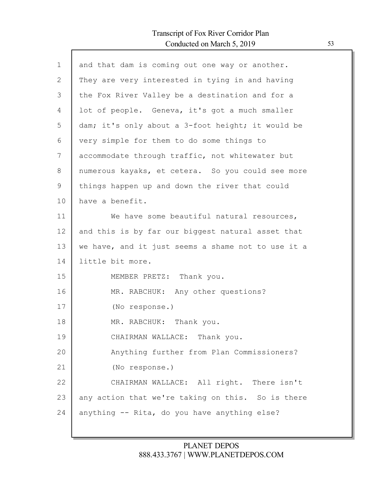Г

| and that dam is coming out one way or another.     |
|----------------------------------------------------|
| They are very interested in tying in and having    |
| the Fox River Valley be a destination and for a    |
| lot of people. Geneva, it's got a much smaller     |
| dam; it's only about a 3-foot height; it would be  |
| very simple for them to do some things to          |
| accommodate through traffic, not whitewater but    |
| numerous kayaks, et cetera. So you could see more  |
| things happen up and down the river that could     |
| have a benefit.                                    |
| We have some beautiful natural resources,          |
| and this is by far our biggest natural asset that  |
| we have, and it just seems a shame not to use it a |
| little bit more.                                   |
| MEMBER PRETZ: Thank you.                           |
| MR. RABCHUK: Any other questions?                  |
| (No response.)                                     |
| MR. RABCHUK: Thank you.                            |
| CHAIRMAN WALLACE: Thank you.                       |
| Anything further from Plan Commissioners?          |
| (No response.)                                     |
| CHAIRMAN WALLACE: All right. There isn't           |
| any action that we're taking on this. So is there  |
| anything -- Rita, do you have anything else?       |
|                                                    |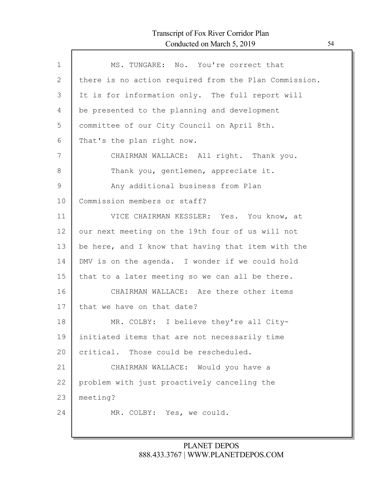| $\mathbf{1}$ | MS. TUNGARE: No. You're correct that                  |
|--------------|-------------------------------------------------------|
| 2            | there is no action required from the Plan Commission. |
| 3            | It is for information only. The full report will      |
| 4            | be presented to the planning and development          |
| 5            | committee of our City Council on April 8th.           |
| 6            | That's the plan right now.                            |
| 7            | CHAIRMAN WALLACE: All right. Thank you.               |
| 8            | Thank you, gentlemen, appreciate it.                  |
| 9            | Any additional business from Plan                     |
| 10           | Commission members or staff?                          |
| 11           | VICE CHAIRMAN KESSLER: Yes. You know, at              |
| 12           | our next meeting on the 19th four of us will not      |
| 13           | be here, and I know that having that item with the    |
| 14           | DMV is on the agenda. I wonder if we could hold       |
| 15           | that to a later meeting so we can all be there.       |
| 16           | CHAIRMAN WALLACE: Are there other items               |
| 17           | that we have on that date?                            |
| 18           | MR. COLBY: I believe they're all City-                |
| 19           | initiated items that are not necessarily time         |
| 20           | critical. Those could be rescheduled.                 |
| 21           | CHAIRMAN WALLACE: Would you have a                    |
| 22           | problem with just proactively canceling the           |
| 23           | meeting?                                              |
| 24           | MR. COLBY: Yes, we could.                             |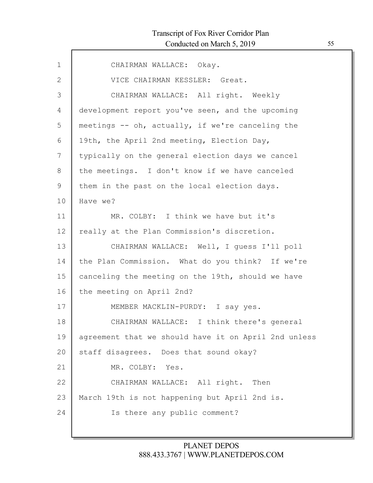| $\mathbf{1}$ | CHAIRMAN WALLACE: Okay.                              |
|--------------|------------------------------------------------------|
| $\mathbf{2}$ | VICE CHAIRMAN KESSLER: Great.                        |
| 3            | CHAIRMAN WALLACE: All right. Weekly                  |
| 4            | development report you've seen, and the upcoming     |
| 5            | meetings -- oh, actually, if we're canceling the     |
| 6            | 19th, the April 2nd meeting, Election Day,           |
| 7            | typically on the general election days we cancel     |
| 8            | the meetings. I don't know if we have canceled       |
| 9            | them in the past on the local election days.         |
| 10           | Have we?                                             |
| 11           | MR. COLBY: I think we have but it's                  |
| 12           | really at the Plan Commission's discretion.          |
| 13           | CHAIRMAN WALLACE: Well, I quess I'll poll            |
| 14           | the Plan Commission. What do you think? If we're     |
| 15           | canceling the meeting on the 19th, should we have    |
| 16           | the meeting on April 2nd?                            |
| 17           | MEMBER MACKLIN-PURDY: I say yes.                     |
| 18           | CHAIRMAN WALLACE: I think there's general            |
| 19           | agreement that we should have it on April 2nd unless |
| 20           | staff disagrees. Does that sound okay?               |
| 21           | MR. COLBY: Yes.                                      |
| 22           | CHAIRMAN WALLACE: All right. Then                    |
| 23           | March 19th is not happening but April 2nd is.        |
| 24           | Is there any public comment?                         |
|              |                                                      |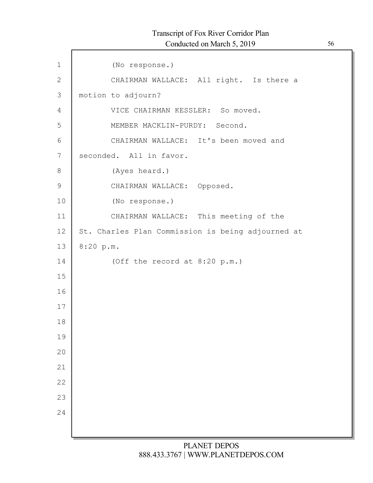| $\mathbf 1$    | (No response.)                                    |
|----------------|---------------------------------------------------|
| $\mathbf{2}$   | CHAIRMAN WALLACE: All right. Is there a           |
| 3              | motion to adjourn?                                |
| $\overline{4}$ | VICE CHAIRMAN KESSLER: So moved.                  |
| 5              | MEMBER MACKLIN-PURDY: Second.                     |
| 6              | CHAIRMAN WALLACE: It's been moved and             |
| 7              | seconded. All in favor.                           |
| 8              | (Ayes heard.)                                     |
| $\mathsf 9$    | CHAIRMAN WALLACE: Opposed.                        |
| 10             | (No response.)                                    |
| 11             | CHAIRMAN WALLACE: This meeting of the             |
| 12             | St. Charles Plan Commission is being adjourned at |
| 13             | 8:20 p.m.                                         |
| 14             | (Off the record at 8:20 p.m.)                     |
| 15             |                                                   |
| 16             |                                                   |
| 17             |                                                   |
| 18             |                                                   |
| 19             |                                                   |
| 20             |                                                   |
| 21             |                                                   |
| 22             |                                                   |
| 23             |                                                   |
| 24             |                                                   |
|                |                                                   |
|                |                                                   |